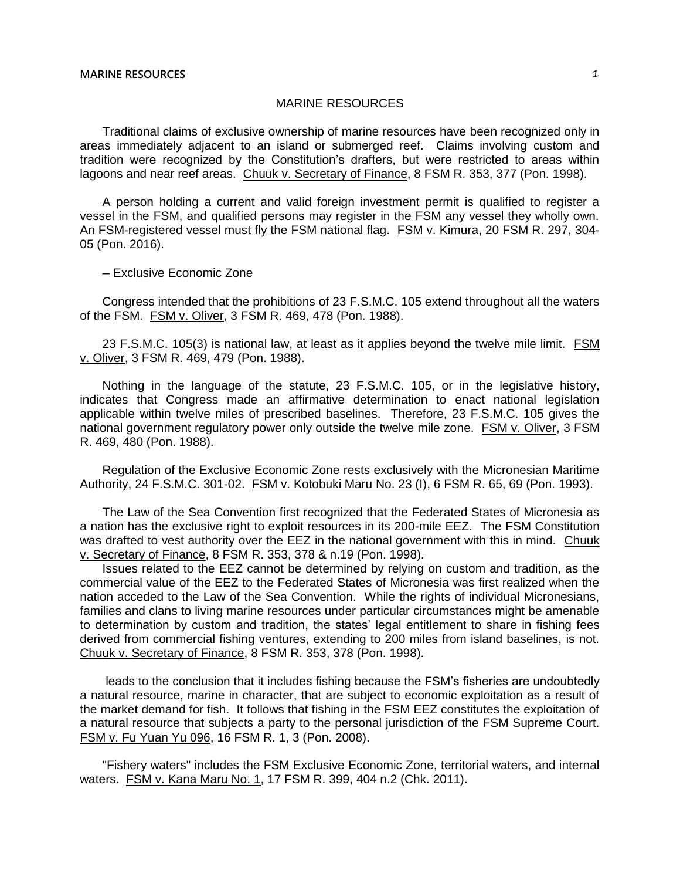# MARINE RESOURCES

Traditional claims of exclusive ownership of marine resources have been recognized only in areas immediately adjacent to an island or submerged reef. Claims involving custom and tradition were recognized by the Constitution's drafters, but were restricted to areas within lagoons and near reef areas. Chuuk v. Secretary of Finance, 8 FSM R. 353, 377 (Pon. 1998).

A person holding a current and valid foreign investment permit is qualified to register a vessel in the FSM, and qualified persons may register in the FSM any vessel they wholly own. An FSM-registered vessel must fly the FSM national flag. FSM v. Kimura, 20 FSM R. 297, 304-05 (Pon. 2016).

─ Exclusive Economic Zone

Congress intended that the prohibitions of 23 F.S.M.C. 105 extend throughout all the waters of the FSM. FSM v. Oliver, 3 FSM R. 469, 478 (Pon. 1988).

23 F.S.M.C. 105(3) is national law, at least as it applies beyond the twelve mile limit. FSM v. Oliver, 3 FSM R. 469, 479 (Pon. 1988).

Nothing in the language of the statute, 23 F.S.M.C. 105, or in the legislative history, indicates that Congress made an affirmative determination to enact national legislation applicable within twelve miles of prescribed baselines. Therefore, 23 F.S.M.C. 105 gives the national government regulatory power only outside the twelve mile zone. FSM v. Oliver, 3 FSM R. 469, 480 (Pon. 1988).

Regulation of the Exclusive Economic Zone rests exclusively with the Micronesian Maritime Authority, 24 F.S.M.C. 301-02. FSM v. Kotobuki Maru No. 23 (I), 6 FSM R. 65, 69 (Pon. 1993).

The Law of the Sea Convention first recognized that the Federated States of Micronesia as a nation has the exclusive right to exploit resources in its 200-mile EEZ. The FSM Constitution was drafted to vest authority over the EEZ in the national government with this in mind. Chuuk v. Secretary of Finance, 8 FSM R. 353, 378 & n.19 (Pon. 1998).

Issues related to the EEZ cannot be determined by relying on custom and tradition, as the commercial value of the EEZ to the Federated States of Micronesia was first realized when the nation acceded to the Law of the Sea Convention. While the rights of individual Micronesians, families and clans to living marine resources under particular circumstances might be amenable to determination by custom and tradition, the states' legal entitlement to share in fishing fees derived from commercial fishing ventures, extending to 200 miles from island baselines, is not. Chuuk v. Secretary of Finance, 8 FSM R. 353, 378 (Pon. 1998).

leads to the conclusion that it includes fishing because the FSM's fisheries are undoubtedly a natural resource, marine in character, that are subject to economic exploitation as a result of the market demand for fish. It follows that fishing in the FSM EEZ constitutes the exploitation of a natural resource that subjects a party to the personal jurisdiction of the FSM Supreme Court. FSM v. Fu Yuan Yu 096, 16 FSM R. 1, 3 (Pon. 2008).

"Fishery waters" includes the FSM Exclusive Economic Zone, territorial waters, and internal waters. FSM v. Kana Maru No. 1, 17 FSM R. 399, 404 n.2 (Chk. 2011).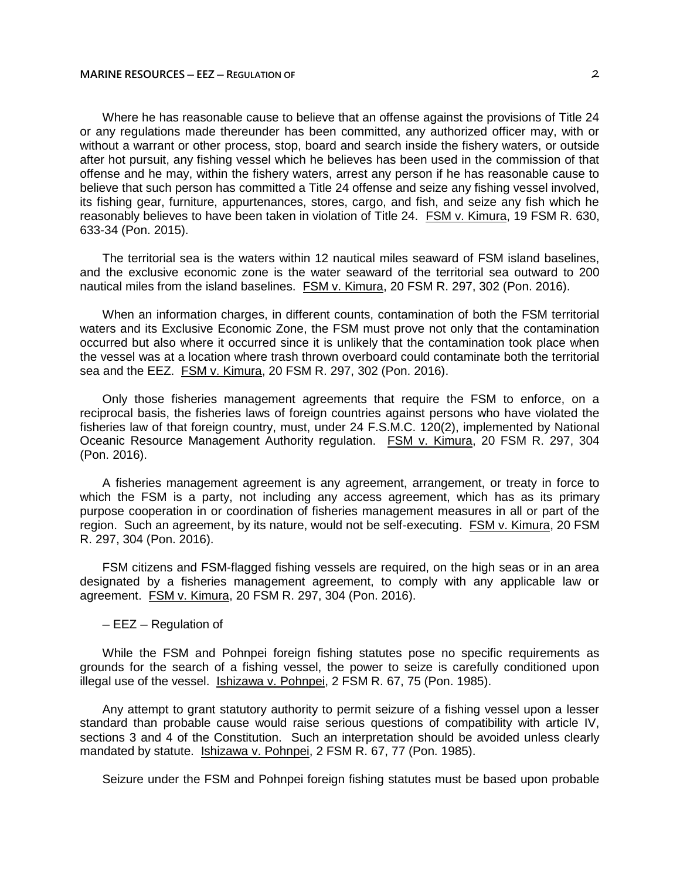Where he has reasonable cause to believe that an offense against the provisions of Title 24 or any regulations made thereunder has been committed, any authorized officer may, with or without a warrant or other process, stop, board and search inside the fishery waters, or outside after hot pursuit, any fishing vessel which he believes has been used in the commission of that offense and he may, within the fishery waters, arrest any person if he has reasonable cause to believe that such person has committed a Title 24 offense and seize any fishing vessel involved, its fishing gear, furniture, appurtenances, stores, cargo, and fish, and seize any fish which he reasonably believes to have been taken in violation of Title 24. FSM v. Kimura, 19 FSM R. 630, 633-34 (Pon. 2015).

The territorial sea is the waters within 12 nautical miles seaward of FSM island baselines, and the exclusive economic zone is the water seaward of the territorial sea outward to 200 nautical miles from the island baselines. FSM v. Kimura, 20 FSM R. 297, 302 (Pon. 2016).

When an information charges, in different counts, contamination of both the FSM territorial waters and its Exclusive Economic Zone, the FSM must prove not only that the contamination occurred but also where it occurred since it is unlikely that the contamination took place when the vessel was at a location where trash thrown overboard could contaminate both the territorial sea and the EEZ. FSM v. Kimura, 20 FSM R. 297, 302 (Pon. 2016).

Only those fisheries management agreements that require the FSM to enforce, on a reciprocal basis, the fisheries laws of foreign countries against persons who have violated the fisheries law of that foreign country, must, under 24 F.S.M.C. 120(2), implemented by National Oceanic Resource Management Authority regulation. FSM v. Kimura, 20 FSM R. 297, 304 (Pon. 2016).

A fisheries management agreement is any agreement, arrangement, or treaty in force to which the FSM is a party, not including any access agreement, which has as its primary purpose cooperation in or coordination of fisheries management measures in all or part of the region. Such an agreement, by its nature, would not be self-executing. FSM v. Kimura, 20 FSM R. 297, 304 (Pon. 2016).

FSM citizens and FSM-flagged fishing vessels are required, on the high seas or in an area designated by a fisheries management agreement, to comply with any applicable law or agreement. FSM v. Kimura, 20 FSM R. 297, 304 (Pon. 2016).

─ EEZ ─ Regulation of

While the FSM and Pohnpei foreign fishing statutes pose no specific requirements as grounds for the search of a fishing vessel, the power to seize is carefully conditioned upon illegal use of the vessel. Ishizawa v. Pohnpei, 2 FSM R. 67, 75 (Pon. 1985).

Any attempt to grant statutory authority to permit seizure of a fishing vessel upon a lesser standard than probable cause would raise serious questions of compatibility with article IV, sections 3 and 4 of the Constitution. Such an interpretation should be avoided unless clearly mandated by statute. Ishizawa v. Pohnpei, 2 FSM R. 67, 77 (Pon. 1985).

Seizure under the FSM and Pohnpei foreign fishing statutes must be based upon probable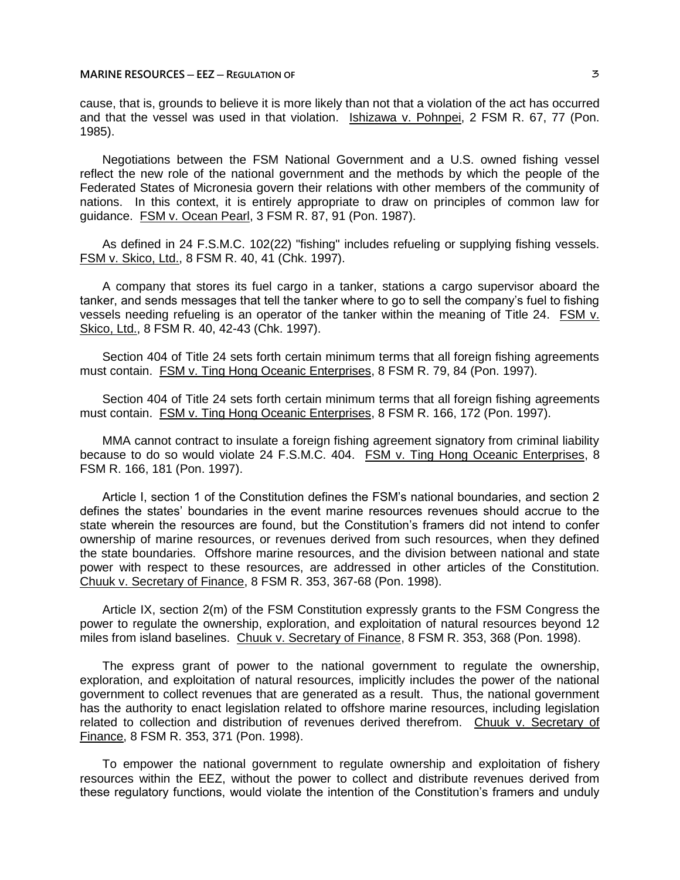cause, that is, grounds to believe it is more likely than not that a violation of the act has occurred and that the vessel was used in that violation. Ishizawa v. Pohnpei, 2 FSM R. 67, 77 (Pon. 1985).

Negotiations between the FSM National Government and a U.S. owned fishing vessel reflect the new role of the national government and the methods by which the people of the Federated States of Micronesia govern their relations with other members of the community of nations. In this context, it is entirely appropriate to draw on principles of common law for guidance. FSM v. Ocean Pearl, 3 FSM R. 87, 91 (Pon. 1987).

As defined in 24 F.S.M.C. 102(22) "fishing" includes refueling or supplying fishing vessels. FSM v. Skico, Ltd., 8 FSM R. 40, 41 (Chk. 1997).

A company that stores its fuel cargo in a tanker, stations a cargo supervisor aboard the tanker, and sends messages that tell the tanker where to go to sell the company's fuel to fishing vessels needing refueling is an operator of the tanker within the meaning of Title 24. FSM v. Skico, Ltd., 8 FSM R. 40, 42-43 (Chk. 1997).

Section 404 of Title 24 sets forth certain minimum terms that all foreign fishing agreements must contain. FSM v. Ting Hong Oceanic Enterprises, 8 FSM R. 79, 84 (Pon. 1997).

Section 404 of Title 24 sets forth certain minimum terms that all foreign fishing agreements must contain. FSM v. Ting Hong Oceanic Enterprises, 8 FSM R. 166, 172 (Pon. 1997).

MMA cannot contract to insulate a foreign fishing agreement signatory from criminal liability because to do so would violate 24 F.S.M.C. 404. FSM v. Ting Hong Oceanic Enterprises, 8 FSM R. 166, 181 (Pon. 1997).

Article I, section 1 of the Constitution defines the FSM's national boundaries, and section 2 defines the states' boundaries in the event marine resources revenues should accrue to the state wherein the resources are found, but the Constitution's framers did not intend to confer ownership of marine resources, or revenues derived from such resources, when they defined the state boundaries. Offshore marine resources, and the division between national and state power with respect to these resources, are addressed in other articles of the Constitution. Chuuk v. Secretary of Finance, 8 FSM R. 353, 367-68 (Pon. 1998).

Article IX, section 2(m) of the FSM Constitution expressly grants to the FSM Congress the power to regulate the ownership, exploration, and exploitation of natural resources beyond 12 miles from island baselines. Chuuk v. Secretary of Finance, 8 FSM R. 353, 368 (Pon. 1998).

The express grant of power to the national government to regulate the ownership, exploration, and exploitation of natural resources, implicitly includes the power of the national government to collect revenues that are generated as a result. Thus, the national government has the authority to enact legislation related to offshore marine resources, including legislation related to collection and distribution of revenues derived therefrom. Chuuk v. Secretary of Finance, 8 FSM R. 353, 371 (Pon. 1998).

To empower the national government to regulate ownership and exploitation of fishery resources within the EEZ, without the power to collect and distribute revenues derived from these regulatory functions, would violate the intention of the Constitution's framers and unduly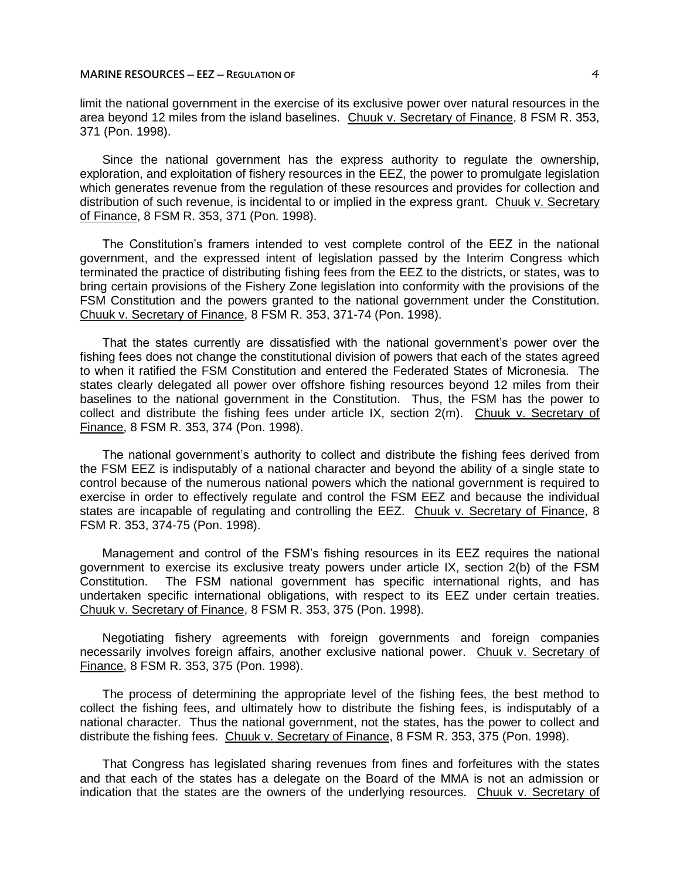## **MARINE RESOURCES ─ EEZ ─ REGULATION OF** 4

limit the national government in the exercise of its exclusive power over natural resources in the area beyond 12 miles from the island baselines. Chuuk v. Secretary of Finance, 8 FSM R. 353, 371 (Pon. 1998).

Since the national government has the express authority to regulate the ownership, exploration, and exploitation of fishery resources in the EEZ, the power to promulgate legislation which generates revenue from the regulation of these resources and provides for collection and distribution of such revenue, is incidental to or implied in the express grant. Chuuk v. Secretary of Finance, 8 FSM R. 353, 371 (Pon. 1998).

The Constitution's framers intended to vest complete control of the EEZ in the national government, and the expressed intent of legislation passed by the Interim Congress which terminated the practice of distributing fishing fees from the EEZ to the districts, or states, was to bring certain provisions of the Fishery Zone legislation into conformity with the provisions of the FSM Constitution and the powers granted to the national government under the Constitution. Chuuk v. Secretary of Finance, 8 FSM R. 353, 371-74 (Pon. 1998).

That the states currently are dissatisfied with the national government's power over the fishing fees does not change the constitutional division of powers that each of the states agreed to when it ratified the FSM Constitution and entered the Federated States of Micronesia. The states clearly delegated all power over offshore fishing resources beyond 12 miles from their baselines to the national government in the Constitution. Thus, the FSM has the power to collect and distribute the fishing fees under article IX, section 2(m). Chuuk v. Secretary of Finance, 8 FSM R. 353, 374 (Pon. 1998).

The national government's authority to collect and distribute the fishing fees derived from the FSM EEZ is indisputably of a national character and beyond the ability of a single state to control because of the numerous national powers which the national government is required to exercise in order to effectively regulate and control the FSM EEZ and because the individual states are incapable of regulating and controlling the EEZ. Chuuk v. Secretary of Finance, 8 FSM R. 353, 374-75 (Pon. 1998).

Management and control of the FSM's fishing resources in its EEZ requires the national government to exercise its exclusive treaty powers under article IX, section 2(b) of the FSM Constitution. The FSM national government has specific international rights, and has undertaken specific international obligations, with respect to its EEZ under certain treaties. Chuuk v. Secretary of Finance, 8 FSM R. 353, 375 (Pon. 1998).

Negotiating fishery agreements with foreign governments and foreign companies necessarily involves foreign affairs, another exclusive national power. Chuuk v. Secretary of Finance, 8 FSM R. 353, 375 (Pon. 1998).

The process of determining the appropriate level of the fishing fees, the best method to collect the fishing fees, and ultimately how to distribute the fishing fees, is indisputably of a national character. Thus the national government, not the states, has the power to collect and distribute the fishing fees. Chuuk v. Secretary of Finance, 8 FSM R. 353, 375 (Pon. 1998).

That Congress has legislated sharing revenues from fines and forfeitures with the states and that each of the states has a delegate on the Board of the MMA is not an admission or indication that the states are the owners of the underlying resources. Chuuk v. Secretary of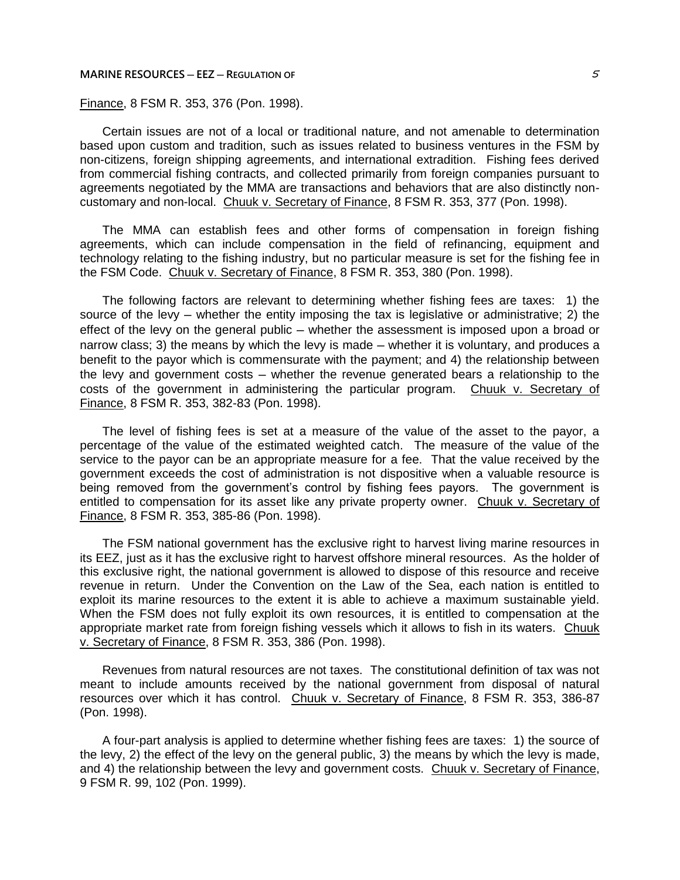#### **MARINE RESOURCES ─ EEZ ─ REGULATION OF** 5

# Finance, 8 FSM R. 353, 376 (Pon. 1998).

Certain issues are not of a local or traditional nature, and not amenable to determination based upon custom and tradition, such as issues related to business ventures in the FSM by non-citizens, foreign shipping agreements, and international extradition. Fishing fees derived from commercial fishing contracts, and collected primarily from foreign companies pursuant to agreements negotiated by the MMA are transactions and behaviors that are also distinctly noncustomary and non-local. Chuuk v. Secretary of Finance, 8 FSM R. 353, 377 (Pon. 1998).

The MMA can establish fees and other forms of compensation in foreign fishing agreements, which can include compensation in the field of refinancing, equipment and technology relating to the fishing industry, but no particular measure is set for the fishing fee in the FSM Code. Chuuk v. Secretary of Finance, 8 FSM R. 353, 380 (Pon. 1998).

The following factors are relevant to determining whether fishing fees are taxes: 1) the source of the levy  $-$  whether the entity imposing the tax is legislative or administrative; 2) the effect of the levy on the general public – whether the assessment is imposed upon a broad or narrow class; 3) the means by which the levy is made — whether it is voluntary, and produces a benefit to the payor which is commensurate with the payment; and 4) the relationship between the levy and government costs — whether the revenue generated bears a relationship to the costs of the government in administering the particular program. Chuuk v. Secretary of Finance, 8 FSM R. 353, 382-83 (Pon. 1998).

The level of fishing fees is set at a measure of the value of the asset to the payor, a percentage of the value of the estimated weighted catch. The measure of the value of the service to the payor can be an appropriate measure for a fee. That the value received by the government exceeds the cost of administration is not dispositive when a valuable resource is being removed from the government's control by fishing fees payors. The government is entitled to compensation for its asset like any private property owner. Chuuk v. Secretary of Finance, 8 FSM R. 353, 385-86 (Pon. 1998).

The FSM national government has the exclusive right to harvest living marine resources in its EEZ, just as it has the exclusive right to harvest offshore mineral resources. As the holder of this exclusive right, the national government is allowed to dispose of this resource and receive revenue in return. Under the Convention on the Law of the Sea, each nation is entitled to exploit its marine resources to the extent it is able to achieve a maximum sustainable yield. When the FSM does not fully exploit its own resources, it is entitled to compensation at the appropriate market rate from foreign fishing vessels which it allows to fish in its waters. Chuuk v. Secretary of Finance, 8 FSM R. 353, 386 (Pon. 1998).

Revenues from natural resources are not taxes. The constitutional definition of tax was not meant to include amounts received by the national government from disposal of natural resources over which it has control. Chuuk v. Secretary of Finance, 8 FSM R. 353, 386-87 (Pon. 1998).

A four-part analysis is applied to determine whether fishing fees are taxes: 1) the source of the levy, 2) the effect of the levy on the general public, 3) the means by which the levy is made, and 4) the relationship between the levy and government costs. Chuuk v. Secretary of Finance, 9 FSM R. 99, 102 (Pon. 1999).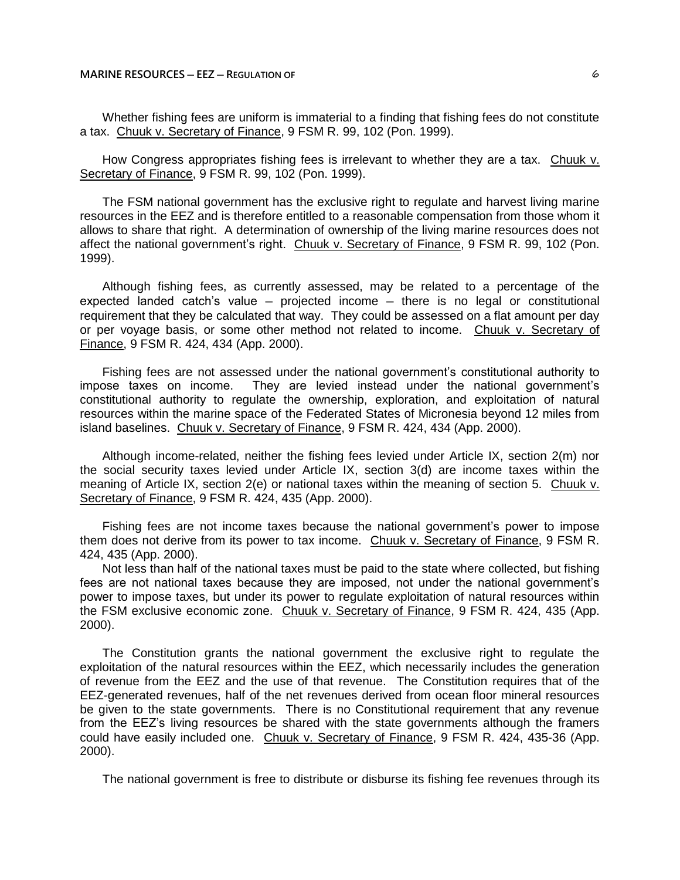Whether fishing fees are uniform is immaterial to a finding that fishing fees do not constitute a tax. Chuuk v. Secretary of Finance, 9 FSM R. 99, 102 (Pon. 1999).

How Congress appropriates fishing fees is irrelevant to whether they are a tax. Chuuk v. Secretary of Finance, 9 FSM R. 99, 102 (Pon. 1999).

The FSM national government has the exclusive right to regulate and harvest living marine resources in the EEZ and is therefore entitled to a reasonable compensation from those whom it allows to share that right. A determination of ownership of the living marine resources does not affect the national government's right. Chuuk v. Secretary of Finance, 9 FSM R. 99, 102 (Pon. 1999).

Although fishing fees, as currently assessed, may be related to a percentage of the expected landed catch's value  $-$  projected income  $-$  there is no legal or constitutional requirement that they be calculated that way. They could be assessed on a flat amount per day or per voyage basis, or some other method not related to income. Chuuk v. Secretary of Finance, 9 FSM R. 424, 434 (App. 2000).

Fishing fees are not assessed under the national government's constitutional authority to impose taxes on income. They are levied instead under the national government's constitutional authority to regulate the ownership, exploration, and exploitation of natural resources within the marine space of the Federated States of Micronesia beyond 12 miles from island baselines. Chuuk v. Secretary of Finance, 9 FSM R. 424, 434 (App. 2000).

Although income-related, neither the fishing fees levied under Article IX, section 2(m) nor the social security taxes levied under Article IX, section 3(d) are income taxes within the meaning of Article IX, section 2(e) or national taxes within the meaning of section 5. Chuuk v. Secretary of Finance, 9 FSM R. 424, 435 (App. 2000).

Fishing fees are not income taxes because the national government's power to impose them does not derive from its power to tax income. Chuuk v. Secretary of Finance, 9 FSM R. 424, 435 (App. 2000).

Not less than half of the national taxes must be paid to the state where collected, but fishing fees are not national taxes because they are imposed, not under the national government's power to impose taxes, but under its power to regulate exploitation of natural resources within the FSM exclusive economic zone. Chuuk v. Secretary of Finance, 9 FSM R. 424, 435 (App. 2000).

The Constitution grants the national government the exclusive right to regulate the exploitation of the natural resources within the EEZ, which necessarily includes the generation of revenue from the EEZ and the use of that revenue. The Constitution requires that of the EEZ-generated revenues, half of the net revenues derived from ocean floor mineral resources be given to the state governments. There is no Constitutional requirement that any revenue from the EEZ's living resources be shared with the state governments although the framers could have easily included one. Chuuk v. Secretary of Finance, 9 FSM R. 424, 435-36 (App. 2000).

The national government is free to distribute or disburse its fishing fee revenues through its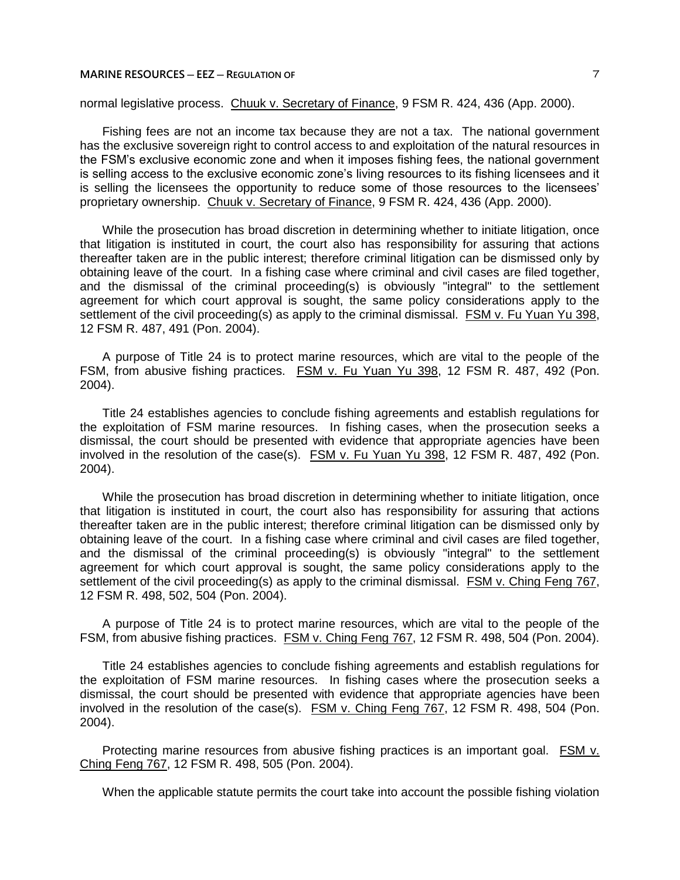## **MARINE RESOURCES ─ EEZ ─ REGULATION OF** 7

normal legislative process. Chuuk v. Secretary of Finance, 9 FSM R. 424, 436 (App. 2000).

Fishing fees are not an income tax because they are not a tax. The national government has the exclusive sovereign right to control access to and exploitation of the natural resources in the FSM's exclusive economic zone and when it imposes fishing fees, the national government is selling access to the exclusive economic zone's living resources to its fishing licensees and it is selling the licensees the opportunity to reduce some of those resources to the licensees' proprietary ownership. Chuuk v. Secretary of Finance, 9 FSM R. 424, 436 (App. 2000).

While the prosecution has broad discretion in determining whether to initiate litigation, once that litigation is instituted in court, the court also has responsibility for assuring that actions thereafter taken are in the public interest; therefore criminal litigation can be dismissed only by obtaining leave of the court. In a fishing case where criminal and civil cases are filed together, and the dismissal of the criminal proceeding(s) is obviously "integral" to the settlement agreement for which court approval is sought, the same policy considerations apply to the settlement of the civil proceeding(s) as apply to the criminal dismissal. FSM v. Fu Yuan Yu 398, 12 FSM R. 487, 491 (Pon. 2004).

A purpose of Title 24 is to protect marine resources, which are vital to the people of the FSM, from abusive fishing practices. FSM v. Fu Yuan Yu 398, 12 FSM R. 487, 492 (Pon. 2004).

Title 24 establishes agencies to conclude fishing agreements and establish regulations for the exploitation of FSM marine resources. In fishing cases, when the prosecution seeks a dismissal, the court should be presented with evidence that appropriate agencies have been involved in the resolution of the case(s). FSM v. Fu Yuan Yu 398, 12 FSM R. 487, 492 (Pon. 2004).

While the prosecution has broad discretion in determining whether to initiate litigation, once that litigation is instituted in court, the court also has responsibility for assuring that actions thereafter taken are in the public interest; therefore criminal litigation can be dismissed only by obtaining leave of the court. In a fishing case where criminal and civil cases are filed together, and the dismissal of the criminal proceeding(s) is obviously "integral" to the settlement agreement for which court approval is sought, the same policy considerations apply to the settlement of the civil proceeding(s) as apply to the criminal dismissal. FSM v. Ching Feng 767, 12 FSM R. 498, 502, 504 (Pon. 2004).

A purpose of Title 24 is to protect marine resources, which are vital to the people of the FSM, from abusive fishing practices. FSM v. Ching Feng 767, 12 FSM R. 498, 504 (Pon. 2004).

Title 24 establishes agencies to conclude fishing agreements and establish regulations for the exploitation of FSM marine resources. In fishing cases where the prosecution seeks a dismissal, the court should be presented with evidence that appropriate agencies have been involved in the resolution of the case(s). FSM v. Ching Feng 767, 12 FSM R. 498, 504 (Pon. 2004).

Protecting marine resources from abusive fishing practices is an important goal. FSM v. Ching Feng 767, 12 FSM R. 498, 505 (Pon. 2004).

When the applicable statute permits the court take into account the possible fishing violation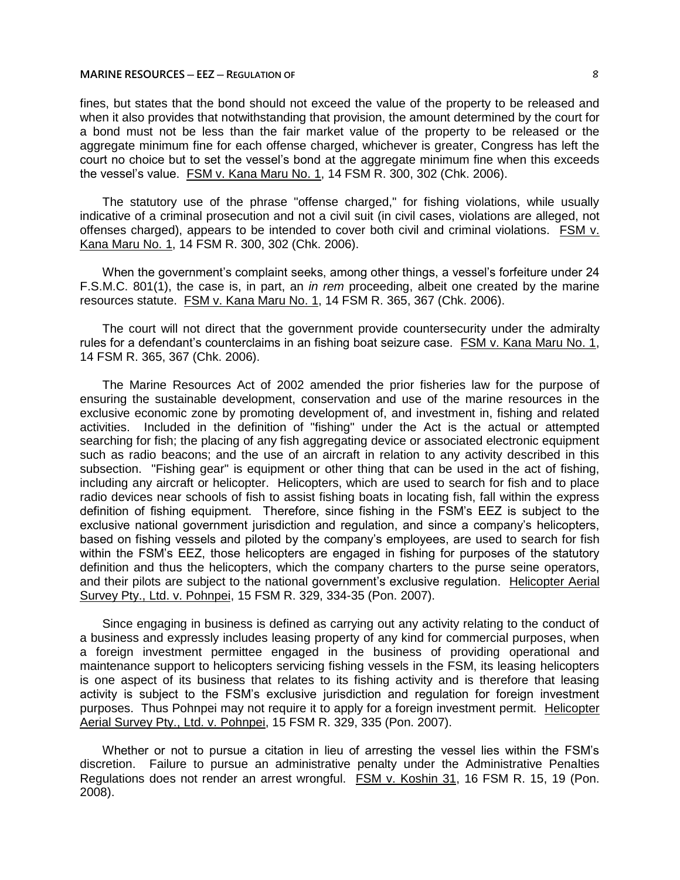## **MARINE RESOURCES ─ EEZ ─ REGULATION OF** 8

fines, but states that the bond should not exceed the value of the property to be released and when it also provides that notwithstanding that provision, the amount determined by the court for a bond must not be less than the fair market value of the property to be released or the aggregate minimum fine for each offense charged, whichever is greater, Congress has left the court no choice but to set the vessel's bond at the aggregate minimum fine when this exceeds the vessel's value. FSM v. Kana Maru No. 1, 14 FSM R. 300, 302 (Chk. 2006).

The statutory use of the phrase "offense charged," for fishing violations, while usually indicative of a criminal prosecution and not a civil suit (in civil cases, violations are alleged, not offenses charged), appears to be intended to cover both civil and criminal violations. FSM v. Kana Maru No. 1, 14 FSM R. 300, 302 (Chk. 2006).

When the government's complaint seeks, among other things, a vessel's forfeiture under 24 F.S.M.C. 801(1), the case is, in part, an *in rem* proceeding, albeit one created by the marine resources statute. FSM v. Kana Maru No. 1, 14 FSM R. 365, 367 (Chk. 2006).

The court will not direct that the government provide countersecurity under the admiralty rules for a defendant's counterclaims in an fishing boat seizure case. FSM v. Kana Maru No. 1, 14 FSM R. 365, 367 (Chk. 2006).

The Marine Resources Act of 2002 amended the prior fisheries law for the purpose of ensuring the sustainable development, conservation and use of the marine resources in the exclusive economic zone by promoting development of, and investment in, fishing and related activities. Included in the definition of "fishing" under the Act is the actual or attempted searching for fish; the placing of any fish aggregating device or associated electronic equipment such as radio beacons; and the use of an aircraft in relation to any activity described in this subsection. "Fishing gear" is equipment or other thing that can be used in the act of fishing, including any aircraft or helicopter. Helicopters, which are used to search for fish and to place radio devices near schools of fish to assist fishing boats in locating fish, fall within the express definition of fishing equipment. Therefore, since fishing in the FSM's EEZ is subject to the exclusive national government jurisdiction and regulation, and since a company's helicopters, based on fishing vessels and piloted by the company's employees, are used to search for fish within the FSM's EEZ, those helicopters are engaged in fishing for purposes of the statutory definition and thus the helicopters, which the company charters to the purse seine operators, and their pilots are subject to the national government's exclusive regulation. Helicopter Aerial Survey Pty., Ltd. v. Pohnpei, 15 FSM R. 329, 334-35 (Pon. 2007).

Since engaging in business is defined as carrying out any activity relating to the conduct of a business and expressly includes leasing property of any kind for commercial purposes, when a foreign investment permittee engaged in the business of providing operational and maintenance support to helicopters servicing fishing vessels in the FSM, its leasing helicopters is one aspect of its business that relates to its fishing activity and is therefore that leasing activity is subject to the FSM's exclusive jurisdiction and regulation for foreign investment purposes. Thus Pohnpei may not require it to apply for a foreign investment permit. Helicopter Aerial Survey Pty., Ltd. v. Pohnpei, 15 FSM R. 329, 335 (Pon. 2007).

Whether or not to pursue a citation in lieu of arresting the vessel lies within the FSM's discretion. Failure to pursue an administrative penalty under the Administrative Penalties Regulations does not render an arrest wrongful. FSM v. Koshin 31, 16 FSM R. 15, 19 (Pon. 2008).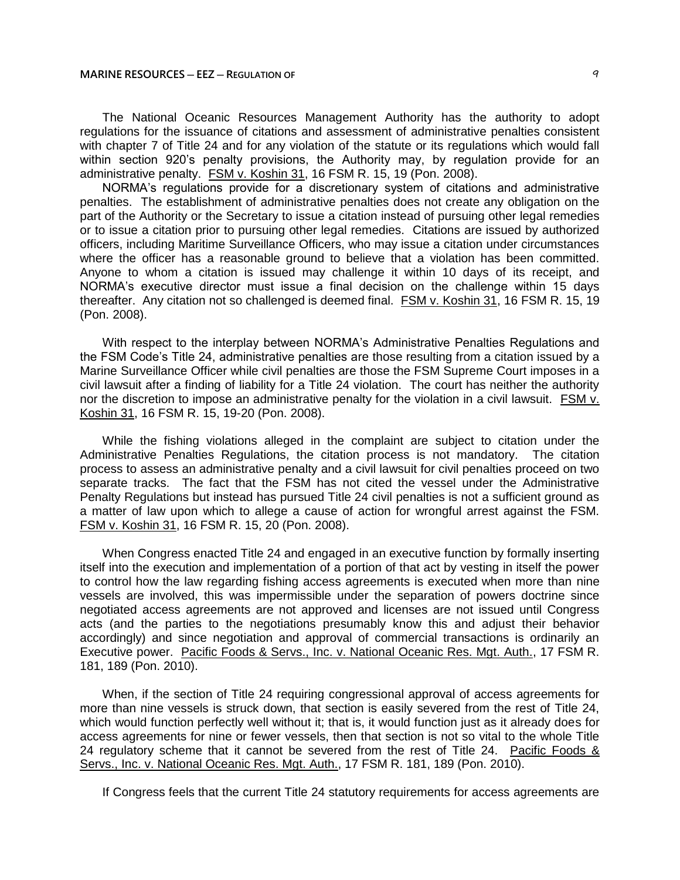The National Oceanic Resources Management Authority has the authority to adopt regulations for the issuance of citations and assessment of administrative penalties consistent with chapter 7 of Title 24 and for any violation of the statute or its regulations which would fall within section 920's penalty provisions, the Authority may, by regulation provide for an administrative penalty. FSM v. Koshin 31, 16 FSM R. 15, 19 (Pon. 2008).

NORMA's regulations provide for a discretionary system of citations and administrative penalties. The establishment of administrative penalties does not create any obligation on the part of the Authority or the Secretary to issue a citation instead of pursuing other legal remedies or to issue a citation prior to pursuing other legal remedies. Citations are issued by authorized officers, including Maritime Surveillance Officers, who may issue a citation under circumstances where the officer has a reasonable ground to believe that a violation has been committed. Anyone to whom a citation is issued may challenge it within 10 days of its receipt, and NORMA's executive director must issue a final decision on the challenge within 15 days thereafter. Any citation not so challenged is deemed final. FSM v. Koshin 31, 16 FSM R. 15, 19 (Pon. 2008).

With respect to the interplay between NORMA's Administrative Penalties Regulations and the FSM Code's Title 24, administrative penalties are those resulting from a citation issued by a Marine Surveillance Officer while civil penalties are those the FSM Supreme Court imposes in a civil lawsuit after a finding of liability for a Title 24 violation. The court has neither the authority nor the discretion to impose an administrative penalty for the violation in a civil lawsuit. FSM v. Koshin 31, 16 FSM R. 15, 19-20 (Pon. 2008).

While the fishing violations alleged in the complaint are subject to citation under the Administrative Penalties Regulations, the citation process is not mandatory. The citation process to assess an administrative penalty and a civil lawsuit for civil penalties proceed on two separate tracks. The fact that the FSM has not cited the vessel under the Administrative Penalty Regulations but instead has pursued Title 24 civil penalties is not a sufficient ground as a matter of law upon which to allege a cause of action for wrongful arrest against the FSM. FSM v. Koshin 31, 16 FSM R. 15, 20 (Pon. 2008).

When Congress enacted Title 24 and engaged in an executive function by formally inserting itself into the execution and implementation of a portion of that act by vesting in itself the power to control how the law regarding fishing access agreements is executed when more than nine vessels are involved, this was impermissible under the separation of powers doctrine since negotiated access agreements are not approved and licenses are not issued until Congress acts (and the parties to the negotiations presumably know this and adjust their behavior accordingly) and since negotiation and approval of commercial transactions is ordinarily an Executive power. Pacific Foods & Servs., Inc. v. National Oceanic Res. Mgt. Auth., 17 FSM R. 181, 189 (Pon. 2010).

When, if the section of Title 24 requiring congressional approval of access agreements for more than nine vessels is struck down, that section is easily severed from the rest of Title 24, which would function perfectly well without it; that is, it would function just as it already does for access agreements for nine or fewer vessels, then that section is not so vital to the whole Title 24 regulatory scheme that it cannot be severed from the rest of Title 24. Pacific Foods & Servs., Inc. v. National Oceanic Res. Mgt. Auth., 17 FSM R. 181, 189 (Pon. 2010).

If Congress feels that the current Title 24 statutory requirements for access agreements are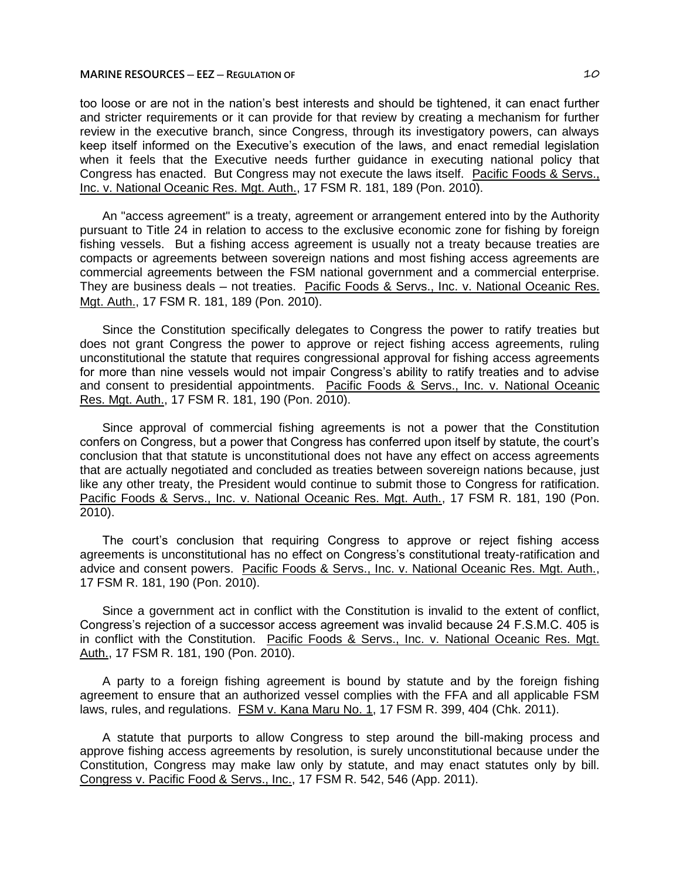## **MARINE RESOURCES ─ EEZ ─ REGULATION OF** 10

too loose or are not in the nation's best interests and should be tightened, it can enact further and stricter requirements or it can provide for that review by creating a mechanism for further review in the executive branch, since Congress, through its investigatory powers, can always keep itself informed on the Executive's execution of the laws, and enact remedial legislation when it feels that the Executive needs further guidance in executing national policy that Congress has enacted. But Congress may not execute the laws itself. Pacific Foods & Servs., Inc. v. National Oceanic Res. Mgt. Auth., 17 FSM R. 181, 189 (Pon. 2010).

An "access agreement" is a treaty, agreement or arrangement entered into by the Authority pursuant to Title 24 in relation to access to the exclusive economic zone for fishing by foreign fishing vessels. But a fishing access agreement is usually not a treaty because treaties are compacts or agreements between sovereign nations and most fishing access agreements are commercial agreements between the FSM national government and a commercial enterprise. They are business deals — not treaties. Pacific Foods & Servs., Inc. v. National Oceanic Res. Mgt. Auth., 17 FSM R. 181, 189 (Pon. 2010).

Since the Constitution specifically delegates to Congress the power to ratify treaties but does not grant Congress the power to approve or reject fishing access agreements, ruling unconstitutional the statute that requires congressional approval for fishing access agreements for more than nine vessels would not impair Congress's ability to ratify treaties and to advise and consent to presidential appointments. Pacific Foods & Servs., Inc. v. National Oceanic Res. Mgt. Auth., 17 FSM R. 181, 190 (Pon. 2010).

Since approval of commercial fishing agreements is not a power that the Constitution confers on Congress, but a power that Congress has conferred upon itself by statute, the court's conclusion that that statute is unconstitutional does not have any effect on access agreements that are actually negotiated and concluded as treaties between sovereign nations because, just like any other treaty, the President would continue to submit those to Congress for ratification. Pacific Foods & Servs., Inc. v. National Oceanic Res. Mgt. Auth., 17 FSM R. 181, 190 (Pon. 2010).

The court's conclusion that requiring Congress to approve or reject fishing access agreements is unconstitutional has no effect on Congress's constitutional treaty-ratification and advice and consent powers. Pacific Foods & Servs., Inc. v. National Oceanic Res. Mgt. Auth., 17 FSM R. 181, 190 (Pon. 2010).

Since a government act in conflict with the Constitution is invalid to the extent of conflict, Congress's rejection of a successor access agreement was invalid because 24 F.S.M.C. 405 is in conflict with the Constitution. Pacific Foods & Servs., Inc. v. National Oceanic Res. Mgt. Auth., 17 FSM R. 181, 190 (Pon. 2010).

A party to a foreign fishing agreement is bound by statute and by the foreign fishing agreement to ensure that an authorized vessel complies with the FFA and all applicable FSM laws, rules, and regulations. FSM v. Kana Maru No. 1, 17 FSM R. 399, 404 (Chk. 2011).

A statute that purports to allow Congress to step around the bill-making process and approve fishing access agreements by resolution, is surely unconstitutional because under the Constitution, Congress may make law only by statute, and may enact statutes only by bill. Congress v. Pacific Food & Servs., Inc., 17 FSM R. 542, 546 (App. 2011).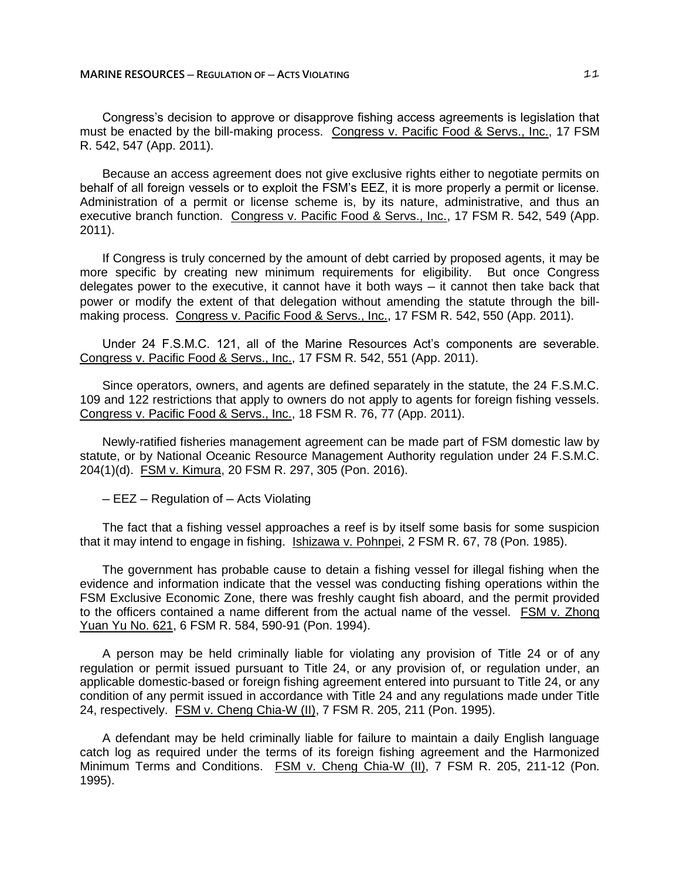Congress's decision to approve or disapprove fishing access agreements is legislation that must be enacted by the bill-making process. Congress v. Pacific Food & Servs., Inc., 17 FSM R. 542, 547 (App. 2011).

Because an access agreement does not give exclusive rights either to negotiate permits on behalf of all foreign vessels or to exploit the FSM's EEZ, it is more properly a permit or license. Administration of a permit or license scheme is, by its nature, administrative, and thus an executive branch function. Congress v. Pacific Food & Servs., Inc., 17 FSM R. 542, 549 (App. 2011).

If Congress is truly concerned by the amount of debt carried by proposed agents, it may be more specific by creating new minimum requirements for eligibility. But once Congress delegates power to the executive, it cannot have it both ways — it cannot then take back that power or modify the extent of that delegation without amending the statute through the billmaking process. Congress v. Pacific Food & Servs., Inc., 17 FSM R. 542, 550 (App. 2011).

Under 24 F.S.M.C. 121, all of the Marine Resources Act's components are severable. Congress v. Pacific Food & Servs., Inc., 17 FSM R. 542, 551 (App. 2011).

Since operators, owners, and agents are defined separately in the statute, the 24 F.S.M.C. 109 and 122 restrictions that apply to owners do not apply to agents for foreign fishing vessels. Congress v. Pacific Food & Servs., Inc., 18 FSM R. 76, 77 (App. 2011).

Newly-ratified fisheries management agreement can be made part of FSM domestic law by statute, or by National Oceanic Resource Management Authority regulation under 24 F.S.M.C. 204(1)(d). FSM v. Kimura, 20 FSM R. 297, 305 (Pon. 2016).

─ EEZ ─ Regulation of ─ Acts Violating

The fact that a fishing vessel approaches a reef is by itself some basis for some suspicion that it may intend to engage in fishing. Ishizawa v. Pohnpei, 2 FSM R. 67, 78 (Pon. 1985).

The government has probable cause to detain a fishing vessel for illegal fishing when the evidence and information indicate that the vessel was conducting fishing operations within the FSM Exclusive Economic Zone, there was freshly caught fish aboard, and the permit provided to the officers contained a name different from the actual name of the vessel. FSM v. Zhong Yuan Yu No. 621, 6 FSM R. 584, 590-91 (Pon. 1994).

A person may be held criminally liable for violating any provision of Title 24 or of any regulation or permit issued pursuant to Title 24, or any provision of, or regulation under, an applicable domestic-based or foreign fishing agreement entered into pursuant to Title 24, or any condition of any permit issued in accordance with Title 24 and any regulations made under Title 24, respectively. FSM v. Cheng Chia-W (II), 7 FSM R. 205, 211 (Pon. 1995).

A defendant may be held criminally liable for failure to maintain a daily English language catch log as required under the terms of its foreign fishing agreement and the Harmonized Minimum Terms and Conditions. FSM v. Cheng Chia-W (II), 7 FSM R. 205, 211-12 (Pon. 1995).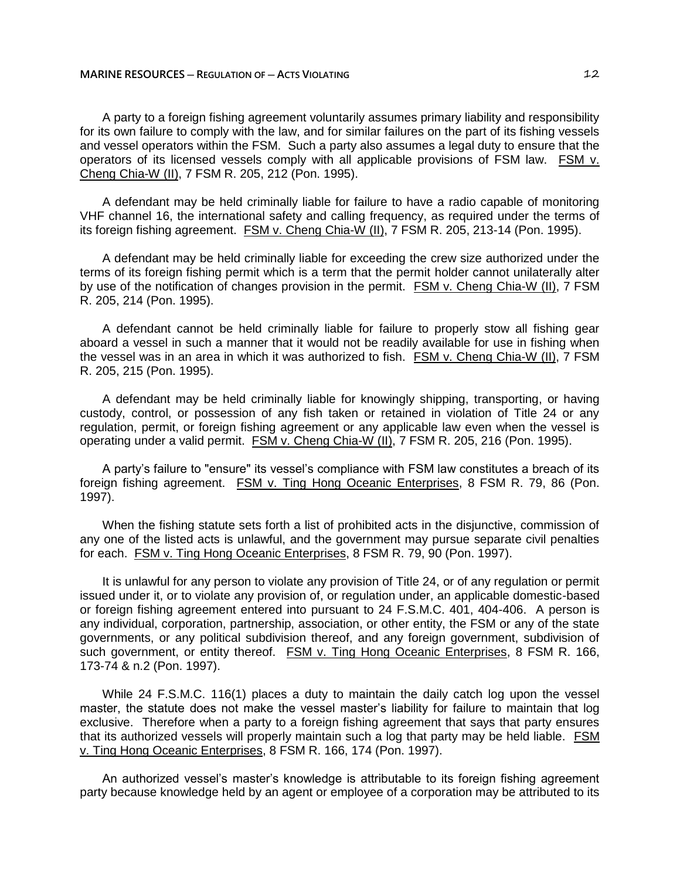A party to a foreign fishing agreement voluntarily assumes primary liability and responsibility for its own failure to comply with the law, and for similar failures on the part of its fishing vessels and vessel operators within the FSM. Such a party also assumes a legal duty to ensure that the operators of its licensed vessels comply with all applicable provisions of FSM law. FSM v. Cheng Chia-W (II), 7 FSM R. 205, 212 (Pon. 1995).

A defendant may be held criminally liable for failure to have a radio capable of monitoring VHF channel 16, the international safety and calling frequency, as required under the terms of its foreign fishing agreement. **FSM v. Cheng Chia-W (II)**, 7 FSM R. 205, 213-14 (Pon. 1995).

A defendant may be held criminally liable for exceeding the crew size authorized under the terms of its foreign fishing permit which is a term that the permit holder cannot unilaterally alter by use of the notification of changes provision in the permit. FSM v. Cheng Chia-W (II), 7 FSM R. 205, 214 (Pon. 1995).

A defendant cannot be held criminally liable for failure to properly stow all fishing gear aboard a vessel in such a manner that it would not be readily available for use in fishing when the vessel was in an area in which it was authorized to fish. FSM v. Cheng Chia-W (II), 7 FSM R. 205, 215 (Pon. 1995).

A defendant may be held criminally liable for knowingly shipping, transporting, or having custody, control, or possession of any fish taken or retained in violation of Title 24 or any regulation, permit, or foreign fishing agreement or any applicable law even when the vessel is operating under a valid permit. FSM v. Cheng Chia-W (II), 7 FSM R. 205, 216 (Pon. 1995).

A party's failure to "ensure" its vessel's compliance with FSM law constitutes a breach of its foreign fishing agreement. FSM v. Ting Hong Oceanic Enterprises, 8 FSM R. 79, 86 (Pon. 1997).

When the fishing statute sets forth a list of prohibited acts in the disjunctive, commission of any one of the listed acts is unlawful, and the government may pursue separate civil penalties for each. FSM v. Ting Hong Oceanic Enterprises, 8 FSM R. 79, 90 (Pon. 1997).

It is unlawful for any person to violate any provision of Title 24, or of any regulation or permit issued under it, or to violate any provision of, or regulation under, an applicable domestic-based or foreign fishing agreement entered into pursuant to 24 F.S.M.C. 401, 404-406. A person is any individual, corporation, partnership, association, or other entity, the FSM or any of the state governments, or any political subdivision thereof, and any foreign government, subdivision of such government, or entity thereof. **FSM v. Ting Hong Oceanic Enterprises**, 8 FSM R. 166, 173-74 & n.2 (Pon. 1997).

While 24 F.S.M.C. 116(1) places a duty to maintain the daily catch log upon the vessel master, the statute does not make the vessel master's liability for failure to maintain that log exclusive. Therefore when a party to a foreign fishing agreement that says that party ensures that its authorized vessels will properly maintain such a log that party may be held liable. FSM v. Ting Hong Oceanic Enterprises, 8 FSM R. 166, 174 (Pon. 1997).

An authorized vessel's master's knowledge is attributable to its foreign fishing agreement party because knowledge held by an agent or employee of a corporation may be attributed to its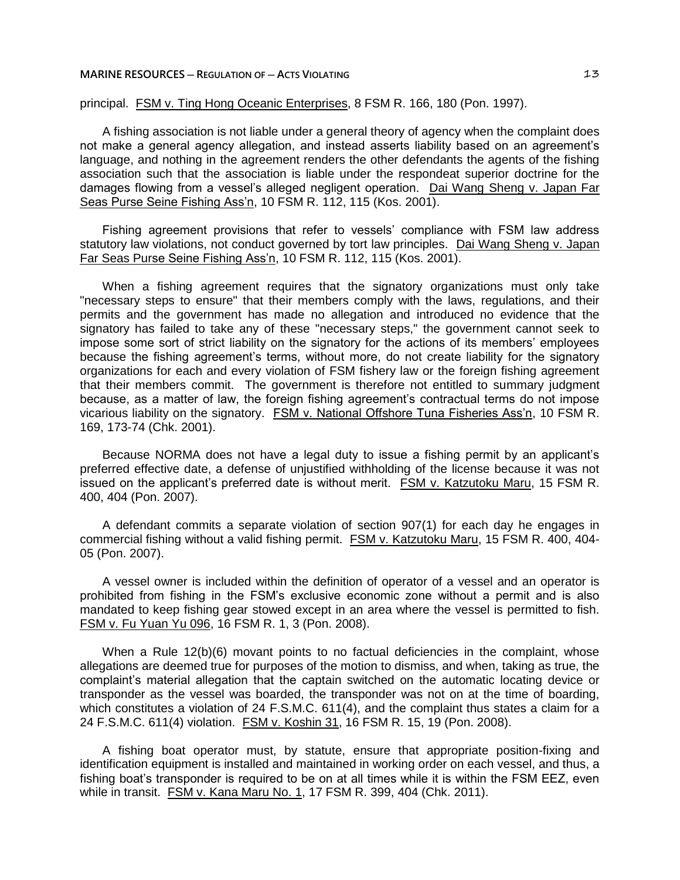## **MARINE RESOURCES ─ REGULATION OF ─ ACTS VIOLATING** 13

# principal. FSM v. Ting Hong Oceanic Enterprises, 8 FSM R. 166, 180 (Pon. 1997).

A fishing association is not liable under a general theory of agency when the complaint does not make a general agency allegation, and instead asserts liability based on an agreement's language, and nothing in the agreement renders the other defendants the agents of the fishing association such that the association is liable under the respondeat superior doctrine for the damages flowing from a vessel's alleged negligent operation. Dai Wang Sheng v. Japan Far Seas Purse Seine Fishing Ass'n, 10 FSM R. 112, 115 (Kos. 2001).

Fishing agreement provisions that refer to vessels' compliance with FSM law address statutory law violations, not conduct governed by tort law principles. Dai Wang Sheng v. Japan Far Seas Purse Seine Fishing Ass'n, 10 FSM R. 112, 115 (Kos. 2001).

When a fishing agreement requires that the signatory organizations must only take "necessary steps to ensure" that their members comply with the laws, regulations, and their permits and the government has made no allegation and introduced no evidence that the signatory has failed to take any of these "necessary steps," the government cannot seek to impose some sort of strict liability on the signatory for the actions of its members' employees because the fishing agreement's terms, without more, do not create liability for the signatory organizations for each and every violation of FSM fishery law or the foreign fishing agreement that their members commit. The government is therefore not entitled to summary judgment because, as a matter of law, the foreign fishing agreement's contractual terms do not impose vicarious liability on the signatory. FSM v. National Offshore Tuna Fisheries Ass'n, 10 FSM R. 169, 173-74 (Chk. 2001).

Because NORMA does not have a legal duty to issue a fishing permit by an applicant's preferred effective date, a defense of unjustified withholding of the license because it was not issued on the applicant's preferred date is without merit. FSM v. Katzutoku Maru, 15 FSM R. 400, 404 (Pon. 2007).

A defendant commits a separate violation of section 907(1) for each day he engages in commercial fishing without a valid fishing permit. FSM v. Katzutoku Maru, 15 FSM R. 400, 404- 05 (Pon. 2007).

A vessel owner is included within the definition of operator of a vessel and an operator is prohibited from fishing in the FSM's exclusive economic zone without a permit and is also mandated to keep fishing gear stowed except in an area where the vessel is permitted to fish. FSM v. Fu Yuan Yu 096, 16 FSM R. 1, 3 (Pon. 2008).

When a Rule 12(b)(6) movant points to no factual deficiencies in the complaint, whose allegations are deemed true for purposes of the motion to dismiss, and when, taking as true, the complaint's material allegation that the captain switched on the automatic locating device or transponder as the vessel was boarded, the transponder was not on at the time of boarding, which constitutes a violation of 24 F.S.M.C. 611(4), and the complaint thus states a claim for a 24 F.S.M.C. 611(4) violation. FSM v. Koshin 31, 16 FSM R. 15, 19 (Pon. 2008).

A fishing boat operator must, by statute, ensure that appropriate position-fixing and identification equipment is installed and maintained in working order on each vessel, and thus, a fishing boat's transponder is required to be on at all times while it is within the FSM EEZ, even while in transit. FSM v. Kana Maru No. 1, 17 FSM R. 399, 404 (Chk. 2011).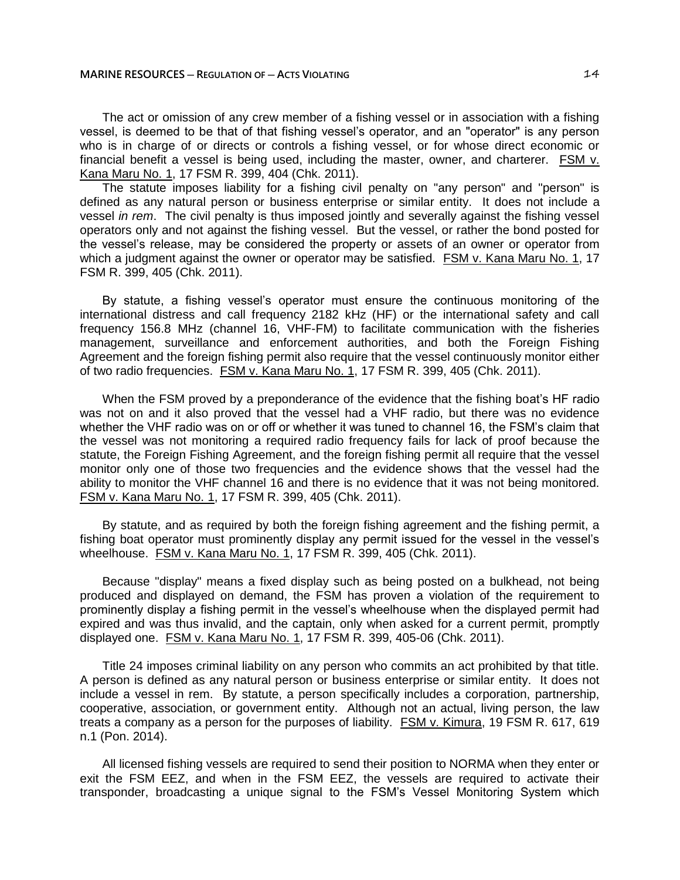The act or omission of any crew member of a fishing vessel or in association with a fishing vessel, is deemed to be that of that fishing vessel's operator, and an "operator" is any person who is in charge of or directs or controls a fishing vessel, or for whose direct economic or financial benefit a vessel is being used, including the master, owner, and charterer. FSM v. Kana Maru No. 1, 17 FSM R. 399, 404 (Chk. 2011).

The statute imposes liability for a fishing civil penalty on "any person" and "person" is defined as any natural person or business enterprise or similar entity. It does not include a vessel *in rem*. The civil penalty is thus imposed jointly and severally against the fishing vessel operators only and not against the fishing vessel. But the vessel, or rather the bond posted for the vessel's release, may be considered the property or assets of an owner or operator from which a judgment against the owner or operator may be satisfied. FSM v. Kana Maru No. 1, 17 FSM R. 399, 405 (Chk. 2011).

By statute, a fishing vessel's operator must ensure the continuous monitoring of the international distress and call frequency 2182 kHz (HF) or the international safety and call frequency 156.8 MHz (channel 16, VHF-FM) to facilitate communication with the fisheries management, surveillance and enforcement authorities, and both the Foreign Fishing Agreement and the foreign fishing permit also require that the vessel continuously monitor either of two radio frequencies. FSM v. Kana Maru No. 1, 17 FSM R. 399, 405 (Chk. 2011).

When the FSM proved by a preponderance of the evidence that the fishing boat's HF radio was not on and it also proved that the vessel had a VHF radio, but there was no evidence whether the VHF radio was on or off or whether it was tuned to channel 16, the FSM's claim that the vessel was not monitoring a required radio frequency fails for lack of proof because the statute, the Foreign Fishing Agreement, and the foreign fishing permit all require that the vessel monitor only one of those two frequencies and the evidence shows that the vessel had the ability to monitor the VHF channel 16 and there is no evidence that it was not being monitored. FSM v. Kana Maru No. 1, 17 FSM R. 399, 405 (Chk. 2011).

By statute, and as required by both the foreign fishing agreement and the fishing permit, a fishing boat operator must prominently display any permit issued for the vessel in the vessel's wheelhouse. FSM v. Kana Maru No. 1, 17 FSM R. 399, 405 (Chk. 2011).

Because "display" means a fixed display such as being posted on a bulkhead, not being produced and displayed on demand, the FSM has proven a violation of the requirement to prominently display a fishing permit in the vessel's wheelhouse when the displayed permit had expired and was thus invalid, and the captain, only when asked for a current permit, promptly displayed one. FSM v. Kana Maru No. 1, 17 FSM R. 399, 405-06 (Chk. 2011).

Title 24 imposes criminal liability on any person who commits an act prohibited by that title. A person is defined as any natural person or business enterprise or similar entity. It does not include a vessel in rem. By statute, a person specifically includes a corporation, partnership, cooperative, association, or government entity. Although not an actual, living person, the law treats a company as a person for the purposes of liability. FSM v. Kimura, 19 FSM R. 617, 619 n.1 (Pon. 2014).

All licensed fishing vessels are required to send their position to NORMA when they enter or exit the FSM EEZ, and when in the FSM EEZ, the vessels are required to activate their transponder, broadcasting a unique signal to the FSM's Vessel Monitoring System which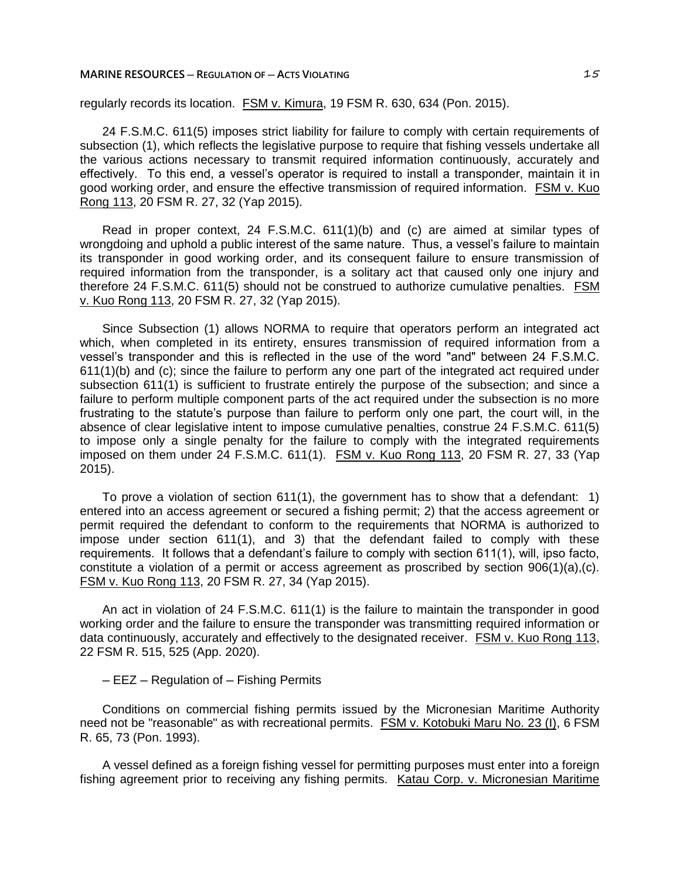### **MARINE RESOURCES ─ REGULATION OF ─ ACTS VIOLATING** 15

regularly records its location. FSM v. Kimura, 19 FSM R. 630, 634 (Pon. 2015).

24 F.S.M.C. 611(5) imposes strict liability for failure to comply with certain requirements of subsection (1), which reflects the legislative purpose to require that fishing vessels undertake all the various actions necessary to transmit required information continuously, accurately and effectively. To this end, a vessel's operator is required to install a transponder, maintain it in good working order, and ensure the effective transmission of required information. FSM v. Kuo Rong 113, 20 FSM R. 27, 32 (Yap 2015).

Read in proper context, 24 F.S.M.C. 611(1)(b) and (c) are aimed at similar types of wrongdoing and uphold a public interest of the same nature. Thus, a vessel's failure to maintain its transponder in good working order, and its consequent failure to ensure transmission of required information from the transponder, is a solitary act that caused only one injury and therefore 24 F.S.M.C. 611(5) should not be construed to authorize cumulative penalties. FSM v. Kuo Rong 113, 20 FSM R. 27, 32 (Yap 2015).

Since Subsection (1) allows NORMA to require that operators perform an integrated act which, when completed in its entirety, ensures transmission of required information from a vessel's transponder and this is reflected in the use of the word "and" between 24 F.S.M.C. 611(1)(b) and (c); since the failure to perform any one part of the integrated act required under subsection 611(1) is sufficient to frustrate entirely the purpose of the subsection; and since a failure to perform multiple component parts of the act required under the subsection is no more frustrating to the statute's purpose than failure to perform only one part, the court will, in the absence of clear legislative intent to impose cumulative penalties, construe 24 F.S.M.C. 611(5) to impose only a single penalty for the failure to comply with the integrated requirements imposed on them under 24 F.S.M.C. 611(1). FSM v. Kuo Rong 113, 20 FSM R. 27, 33 (Yap 2015).

To prove a violation of section 611(1), the government has to show that a defendant: 1) entered into an access agreement or secured a fishing permit; 2) that the access agreement or permit required the defendant to conform to the requirements that NORMA is authorized to impose under section 611(1), and 3) that the defendant failed to comply with these requirements. It follows that a defendant's failure to comply with section 611(1), will, ipso facto, constitute a violation of a permit or access agreement as proscribed by section 906(1)(a),(c). FSM v. Kuo Rong 113, 20 FSM R. 27, 34 (Yap 2015).

An act in violation of 24 F.S.M.C. 611(1) is the failure to maintain the transponder in good working order and the failure to ensure the transponder was transmitting required information or data continuously, accurately and effectively to the designated receiver. FSM v. Kuo Rong 113, 22 FSM R. 515, 525 (App. 2020).

# ─ EEZ ─ Regulation of ─ Fishing Permits

Conditions on commercial fishing permits issued by the Micronesian Maritime Authority need not be "reasonable" as with recreational permits. FSM v. Kotobuki Maru No. 23 (I), 6 FSM R. 65, 73 (Pon. 1993).

A vessel defined as a foreign fishing vessel for permitting purposes must enter into a foreign fishing agreement prior to receiving any fishing permits. Katau Corp. v. Micronesian Maritime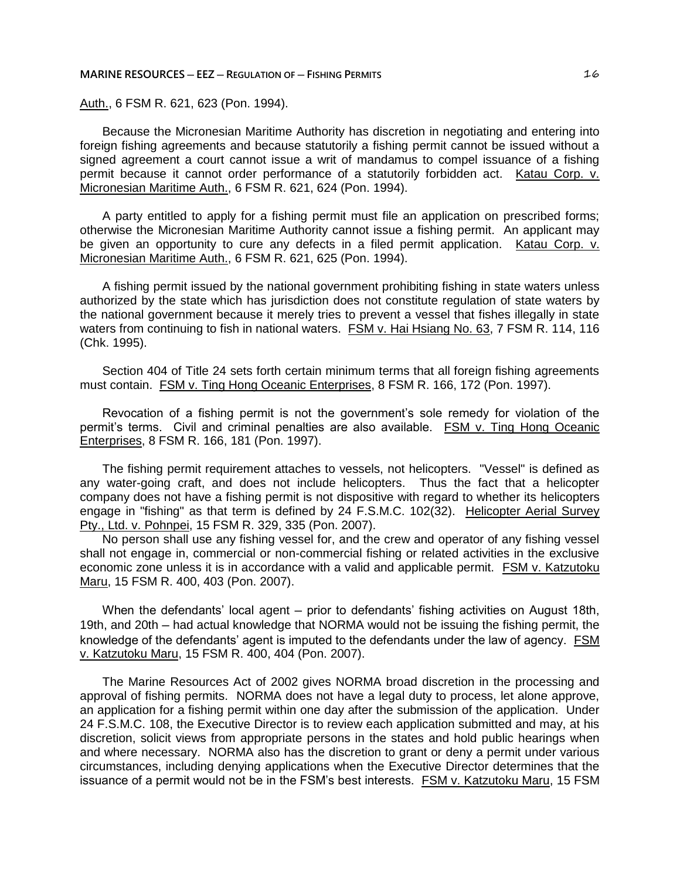**MARINE RESOURCES ─ EEZ ─ REGULATION OF ─ FISHING PERMITS** 16

Auth., 6 FSM R. 621, 623 (Pon. 1994).

Because the Micronesian Maritime Authority has discretion in negotiating and entering into foreign fishing agreements and because statutorily a fishing permit cannot be issued without a signed agreement a court cannot issue a writ of mandamus to compel issuance of a fishing permit because it cannot order performance of a statutorily forbidden act. Katau Corp. v. Micronesian Maritime Auth., 6 FSM R. 621, 624 (Pon. 1994).

A party entitled to apply for a fishing permit must file an application on prescribed forms; otherwise the Micronesian Maritime Authority cannot issue a fishing permit. An applicant may be given an opportunity to cure any defects in a filed permit application. Katau Corp. v. Micronesian Maritime Auth., 6 FSM R. 621, 625 (Pon. 1994).

A fishing permit issued by the national government prohibiting fishing in state waters unless authorized by the state which has jurisdiction does not constitute regulation of state waters by the national government because it merely tries to prevent a vessel that fishes illegally in state waters from continuing to fish in national waters. FSM v. Hai Hsiang No. 63, 7 FSM R. 114, 116 (Chk. 1995).

Section 404 of Title 24 sets forth certain minimum terms that all foreign fishing agreements must contain. **FSM v. Ting Hong Oceanic Enterprises**, 8 FSM R. 166, 172 (Pon. 1997).

Revocation of a fishing permit is not the government's sole remedy for violation of the permit's terms. Civil and criminal penalties are also available. FSM v. Ting Hong Oceanic Enterprises, 8 FSM R. 166, 181 (Pon. 1997).

The fishing permit requirement attaches to vessels, not helicopters. "Vessel" is defined as any water-going craft, and does not include helicopters. Thus the fact that a helicopter company does not have a fishing permit is not dispositive with regard to whether its helicopters engage in "fishing" as that term is defined by 24 F.S.M.C. 102(32). Helicopter Aerial Survey Pty., Ltd. v. Pohnpei, 15 FSM R. 329, 335 (Pon. 2007).

No person shall use any fishing vessel for, and the crew and operator of any fishing vessel shall not engage in, commercial or non-commercial fishing or related activities in the exclusive economic zone unless it is in accordance with a valid and applicable permit. FSM v. Katzutoku Maru, 15 FSM R. 400, 403 (Pon. 2007).

When the defendants' local agent — prior to defendants' fishing activities on August 18th, 19th, and 20th ─ had actual knowledge that NORMA would not be issuing the fishing permit, the knowledge of the defendants' agent is imputed to the defendants under the law of agency. FSM v. Katzutoku Maru, 15 FSM R. 400, 404 (Pon. 2007).

The Marine Resources Act of 2002 gives NORMA broad discretion in the processing and approval of fishing permits. NORMA does not have a legal duty to process, let alone approve, an application for a fishing permit within one day after the submission of the application. Under 24 F.S.M.C. 108, the Executive Director is to review each application submitted and may, at his discretion, solicit views from appropriate persons in the states and hold public hearings when and where necessary. NORMA also has the discretion to grant or deny a permit under various circumstances, including denying applications when the Executive Director determines that the issuance of a permit would not be in the FSM's best interests. FSM v. Katzutoku Maru, 15 FSM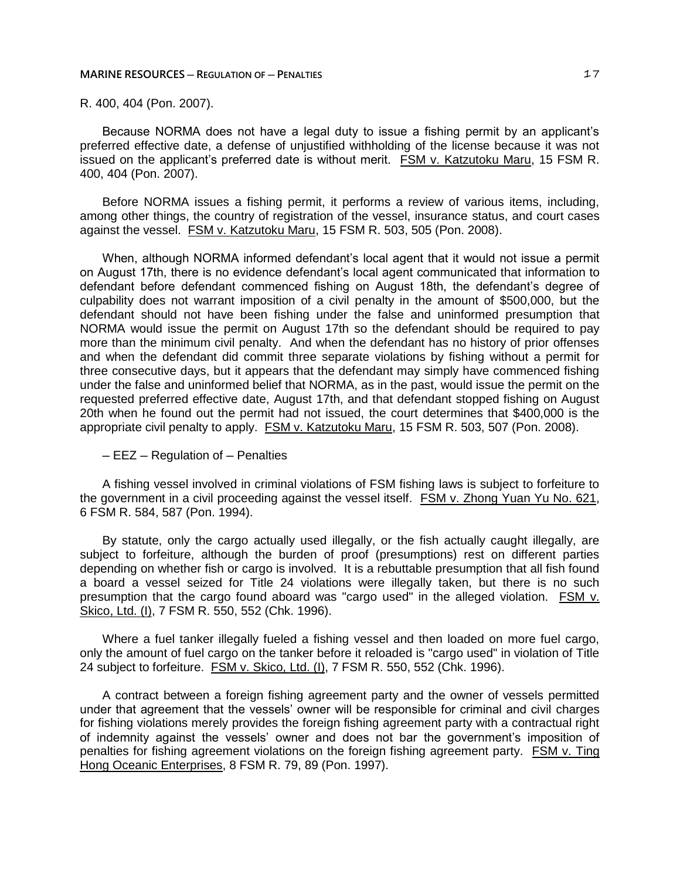R. 400, 404 (Pon. 2007).

Because NORMA does not have a legal duty to issue a fishing permit by an applicant's preferred effective date, a defense of unjustified withholding of the license because it was not issued on the applicant's preferred date is without merit. FSM v. Katzutoku Maru, 15 FSM R. 400, 404 (Pon. 2007).

Before NORMA issues a fishing permit, it performs a review of various items, including, among other things, the country of registration of the vessel, insurance status, and court cases against the vessel. FSM v. Katzutoku Maru, 15 FSM R. 503, 505 (Pon. 2008).

When, although NORMA informed defendant's local agent that it would not issue a permit on August 17th, there is no evidence defendant's local agent communicated that information to defendant before defendant commenced fishing on August 18th, the defendant's degree of culpability does not warrant imposition of a civil penalty in the amount of \$500,000, but the defendant should not have been fishing under the false and uninformed presumption that NORMA would issue the permit on August 17th so the defendant should be required to pay more than the minimum civil penalty. And when the defendant has no history of prior offenses and when the defendant did commit three separate violations by fishing without a permit for three consecutive days, but it appears that the defendant may simply have commenced fishing under the false and uninformed belief that NORMA, as in the past, would issue the permit on the requested preferred effective date, August 17th, and that defendant stopped fishing on August 20th when he found out the permit had not issued, the court determines that \$400,000 is the appropriate civil penalty to apply. FSM v. Katzutoku Maru, 15 FSM R. 503, 507 (Pon. 2008).

─ EEZ ─ Regulation of ─ Penalties

A fishing vessel involved in criminal violations of FSM fishing laws is subject to forfeiture to the government in a civil proceeding against the vessel itself. FSM v. Zhong Yuan Yu No. 621, 6 FSM R. 584, 587 (Pon. 1994).

By statute, only the cargo actually used illegally, or the fish actually caught illegally, are subject to forfeiture, although the burden of proof (presumptions) rest on different parties depending on whether fish or cargo is involved. It is a rebuttable presumption that all fish found a board a vessel seized for Title 24 violations were illegally taken, but there is no such presumption that the cargo found aboard was "cargo used" in the alleged violation. FSM v. Skico, Ltd. (I), 7 FSM R. 550, 552 (Chk. 1996).

Where a fuel tanker illegally fueled a fishing vessel and then loaded on more fuel cargo, only the amount of fuel cargo on the tanker before it reloaded is "cargo used" in violation of Title 24 subject to forfeiture. FSM v. Skico, Ltd. (I), 7 FSM R. 550, 552 (Chk. 1996).

A contract between a foreign fishing agreement party and the owner of vessels permitted under that agreement that the vessels' owner will be responsible for criminal and civil charges for fishing violations merely provides the foreign fishing agreement party with a contractual right of indemnity against the vessels' owner and does not bar the government's imposition of penalties for fishing agreement violations on the foreign fishing agreement party. FSM v. Ting Hong Oceanic Enterprises, 8 FSM R. 79, 89 (Pon. 1997).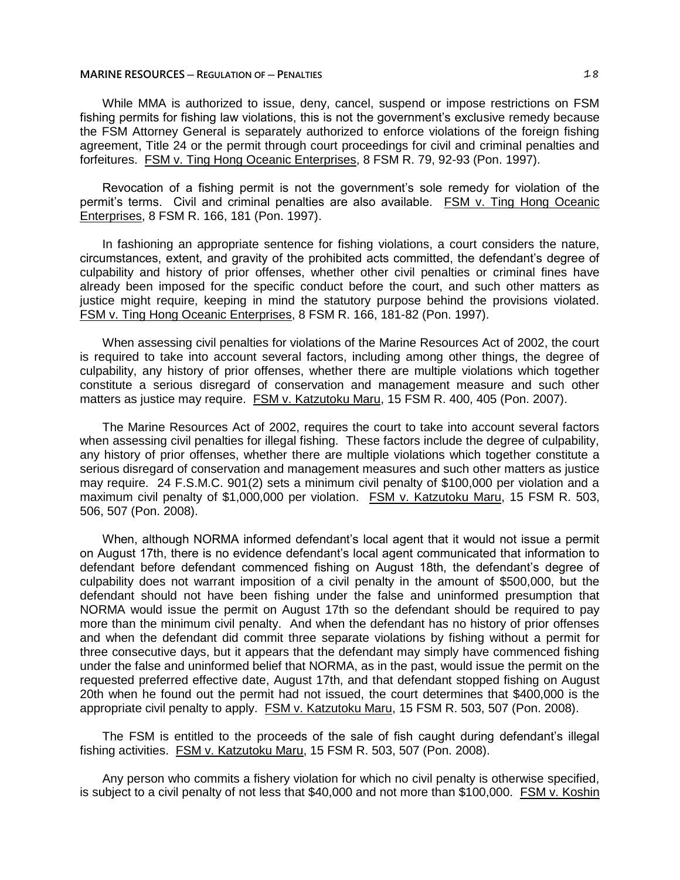While MMA is authorized to issue, deny, cancel, suspend or impose restrictions on FSM fishing permits for fishing law violations, this is not the government's exclusive remedy because the FSM Attorney General is separately authorized to enforce violations of the foreign fishing agreement, Title 24 or the permit through court proceedings for civil and criminal penalties and forfeitures. FSM v. Ting Hong Oceanic Enterprises, 8 FSM R. 79, 92-93 (Pon. 1997).

Revocation of a fishing permit is not the government's sole remedy for violation of the permit's terms. Civil and criminal penalties are also available. FSM v. Ting Hong Oceanic Enterprises, 8 FSM R. 166, 181 (Pon. 1997).

In fashioning an appropriate sentence for fishing violations, a court considers the nature, circumstances, extent, and gravity of the prohibited acts committed, the defendant's degree of culpability and history of prior offenses, whether other civil penalties or criminal fines have already been imposed for the specific conduct before the court, and such other matters as justice might require, keeping in mind the statutory purpose behind the provisions violated. FSM v. Ting Hong Oceanic Enterprises, 8 FSM R. 166, 181-82 (Pon. 1997).

When assessing civil penalties for violations of the Marine Resources Act of 2002, the court is required to take into account several factors, including among other things, the degree of culpability, any history of prior offenses, whether there are multiple violations which together constitute a serious disregard of conservation and management measure and such other matters as justice may require. FSM v. Katzutoku Maru, 15 FSM R. 400, 405 (Pon. 2007).

The Marine Resources Act of 2002, requires the court to take into account several factors when assessing civil penalties for illegal fishing. These factors include the degree of culpability, any history of prior offenses, whether there are multiple violations which together constitute a serious disregard of conservation and management measures and such other matters as justice may require. 24 F.S.M.C. 901(2) sets a minimum civil penalty of \$100,000 per violation and a maximum civil penalty of \$1,000,000 per violation. FSM v. Katzutoku Maru, 15 FSM R. 503, 506, 507 (Pon. 2008).

When, although NORMA informed defendant's local agent that it would not issue a permit on August 17th, there is no evidence defendant's local agent communicated that information to defendant before defendant commenced fishing on August 18th, the defendant's degree of culpability does not warrant imposition of a civil penalty in the amount of \$500,000, but the defendant should not have been fishing under the false and uninformed presumption that NORMA would issue the permit on August 17th so the defendant should be required to pay more than the minimum civil penalty. And when the defendant has no history of prior offenses and when the defendant did commit three separate violations by fishing without a permit for three consecutive days, but it appears that the defendant may simply have commenced fishing under the false and uninformed belief that NORMA, as in the past, would issue the permit on the requested preferred effective date, August 17th, and that defendant stopped fishing on August 20th when he found out the permit had not issued, the court determines that \$400,000 is the appropriate civil penalty to apply. FSM v. Katzutoku Maru, 15 FSM R. 503, 507 (Pon. 2008).

The FSM is entitled to the proceeds of the sale of fish caught during defendant's illegal fishing activities. FSM v. Katzutoku Maru, 15 FSM R. 503, 507 (Pon. 2008).

Any person who commits a fishery violation for which no civil penalty is otherwise specified, is subject to a civil penalty of not less that \$40,000 and not more than \$100,000. FSM v. Koshin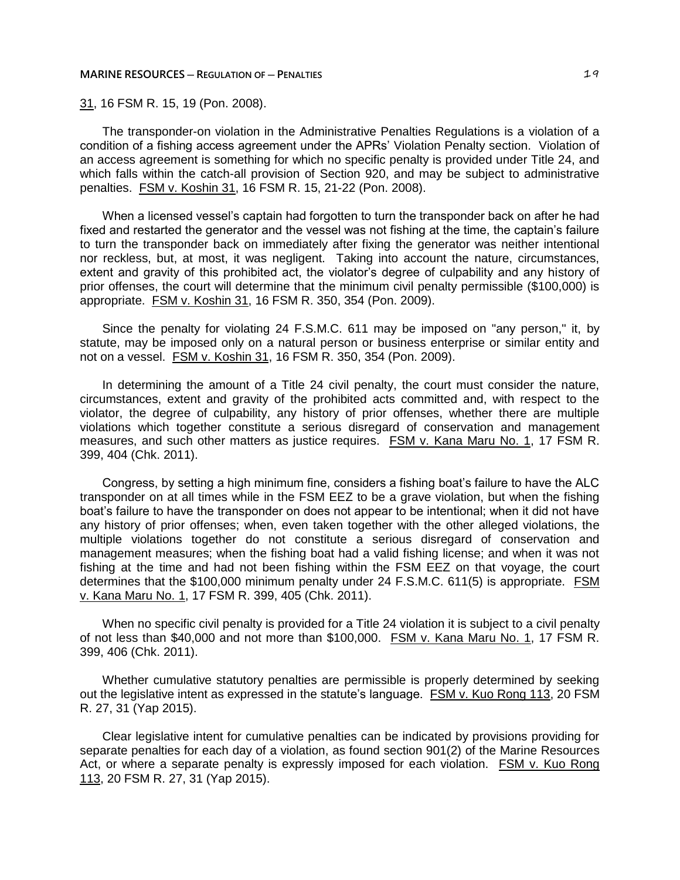31, 16 FSM R. 15, 19 (Pon. 2008).

The transponder-on violation in the Administrative Penalties Regulations is a violation of a condition of a fishing access agreement under the APRs' Violation Penalty section. Violation of an access agreement is something for which no specific penalty is provided under Title 24, and which falls within the catch-all provision of Section 920, and may be subject to administrative penalties. FSM v. Koshin 31, 16 FSM R. 15, 21-22 (Pon. 2008).

When a licensed vessel's captain had forgotten to turn the transponder back on after he had fixed and restarted the generator and the vessel was not fishing at the time, the captain's failure to turn the transponder back on immediately after fixing the generator was neither intentional nor reckless, but, at most, it was negligent. Taking into account the nature, circumstances, extent and gravity of this prohibited act, the violator's degree of culpability and any history of prior offenses, the court will determine that the minimum civil penalty permissible (\$100,000) is appropriate. FSM v. Koshin 31, 16 FSM R. 350, 354 (Pon. 2009).

Since the penalty for violating 24 F.S.M.C. 611 may be imposed on "any person," it, by statute, may be imposed only on a natural person or business enterprise or similar entity and not on a vessel. FSM v. Koshin 31, 16 FSM R. 350, 354 (Pon. 2009).

In determining the amount of a Title 24 civil penalty, the court must consider the nature, circumstances, extent and gravity of the prohibited acts committed and, with respect to the violator, the degree of culpability, any history of prior offenses, whether there are multiple violations which together constitute a serious disregard of conservation and management measures, and such other matters as justice requires. FSM v. Kana Maru No. 1, 17 FSM R. 399, 404 (Chk. 2011).

Congress, by setting a high minimum fine, considers a fishing boat's failure to have the ALC transponder on at all times while in the FSM EEZ to be a grave violation, but when the fishing boat's failure to have the transponder on does not appear to be intentional; when it did not have any history of prior offenses; when, even taken together with the other alleged violations, the multiple violations together do not constitute a serious disregard of conservation and management measures; when the fishing boat had a valid fishing license; and when it was not fishing at the time and had not been fishing within the FSM EEZ on that voyage, the court determines that the \$100,000 minimum penalty under 24 F.S.M.C. 611(5) is appropriate. FSM v. Kana Maru No. 1, 17 FSM R. 399, 405 (Chk. 2011).

When no specific civil penalty is provided for a Title 24 violation it is subject to a civil penalty of not less than \$40,000 and not more than \$100,000. FSM v. Kana Maru No. 1, 17 FSM R. 399, 406 (Chk. 2011).

Whether cumulative statutory penalties are permissible is properly determined by seeking out the legislative intent as expressed in the statute's language. FSM v. Kuo Rong 113, 20 FSM R. 27, 31 (Yap 2015).

Clear legislative intent for cumulative penalties can be indicated by provisions providing for separate penalties for each day of a violation, as found section 901(2) of the Marine Resources Act, or where a separate penalty is expressly imposed for each violation. FSM v. Kuo Rong 113, 20 FSM R. 27, 31 (Yap 2015).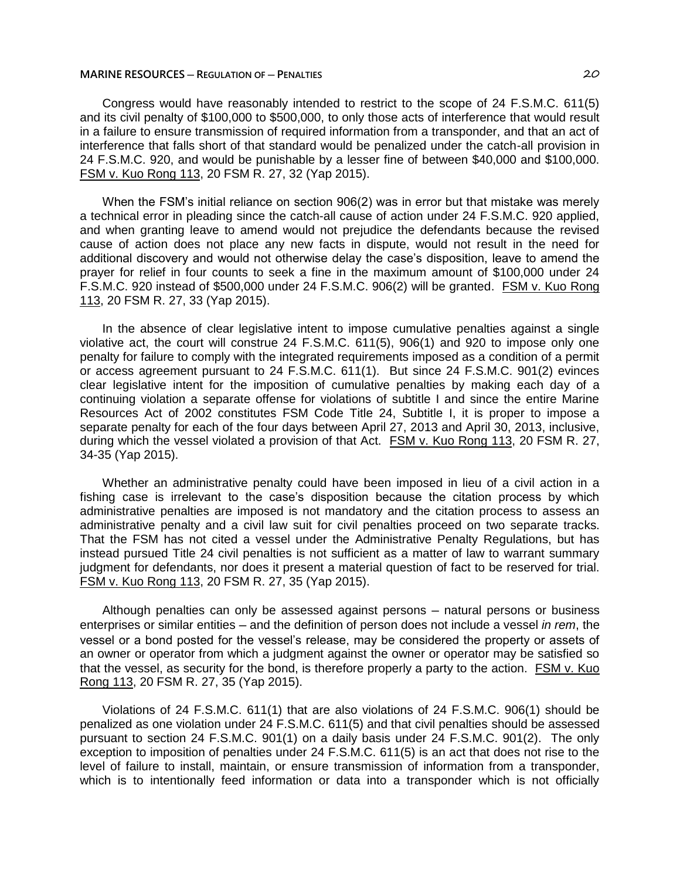Congress would have reasonably intended to restrict to the scope of 24 F.S.M.C. 611(5) and its civil penalty of \$100,000 to \$500,000, to only those acts of interference that would result in a failure to ensure transmission of required information from a transponder, and that an act of interference that falls short of that standard would be penalized under the catch-all provision in 24 F.S.M.C. 920, and would be punishable by a lesser fine of between \$40,000 and \$100,000. FSM v. Kuo Rong 113, 20 FSM R. 27, 32 (Yap 2015).

When the FSM's initial reliance on section 906(2) was in error but that mistake was merely a technical error in pleading since the catch-all cause of action under 24 F.S.M.C. 920 applied, and when granting leave to amend would not prejudice the defendants because the revised cause of action does not place any new facts in dispute, would not result in the need for additional discovery and would not otherwise delay the case's disposition, leave to amend the prayer for relief in four counts to seek a fine in the maximum amount of \$100,000 under 24 F.S.M.C. 920 instead of \$500,000 under 24 F.S.M.C. 906(2) will be granted. FSM v. Kuo Rong 113, 20 FSM R. 27, 33 (Yap 2015).

In the absence of clear legislative intent to impose cumulative penalties against a single violative act, the court will construe 24 F.S.M.C. 611(5), 906(1) and 920 to impose only one penalty for failure to comply with the integrated requirements imposed as a condition of a permit or access agreement pursuant to 24 F.S.M.C. 611(1). But since 24 F.S.M.C. 901(2) evinces clear legislative intent for the imposition of cumulative penalties by making each day of a continuing violation a separate offense for violations of subtitle I and since the entire Marine Resources Act of 2002 constitutes FSM Code Title 24, Subtitle I, it is proper to impose a separate penalty for each of the four days between April 27, 2013 and April 30, 2013, inclusive, during which the vessel violated a provision of that Act. FSM v. Kuo Rong 113, 20 FSM R. 27, 34-35 (Yap 2015).

Whether an administrative penalty could have been imposed in lieu of a civil action in a fishing case is irrelevant to the case's disposition because the citation process by which administrative penalties are imposed is not mandatory and the citation process to assess an administrative penalty and a civil law suit for civil penalties proceed on two separate tracks. That the FSM has not cited a vessel under the Administrative Penalty Regulations, but has instead pursued Title 24 civil penalties is not sufficient as a matter of law to warrant summary judgment for defendants, nor does it present a material question of fact to be reserved for trial. FSM v. Kuo Rong 113, 20 FSM R. 27, 35 (Yap 2015).

Although penalties can only be assessed against persons ─ natural persons or business enterprises or similar entities ─ and the definition of person does not include a vessel *in rem*, the vessel or a bond posted for the vessel's release, may be considered the property or assets of an owner or operator from which a judgment against the owner or operator may be satisfied so that the vessel, as security for the bond, is therefore properly a party to the action. FSM v. Kuo Rong 113, 20 FSM R. 27, 35 (Yap 2015).

Violations of 24 F.S.M.C. 611(1) that are also violations of 24 F.S.M.C. 906(1) should be penalized as one violation under 24 F.S.M.C. 611(5) and that civil penalties should be assessed pursuant to section 24 F.S.M.C. 901(1) on a daily basis under 24 F.S.M.C. 901(2). The only exception to imposition of penalties under 24 F.S.M.C. 611(5) is an act that does not rise to the level of failure to install, maintain, or ensure transmission of information from a transponder, which is to intentionally feed information or data into a transponder which is not officially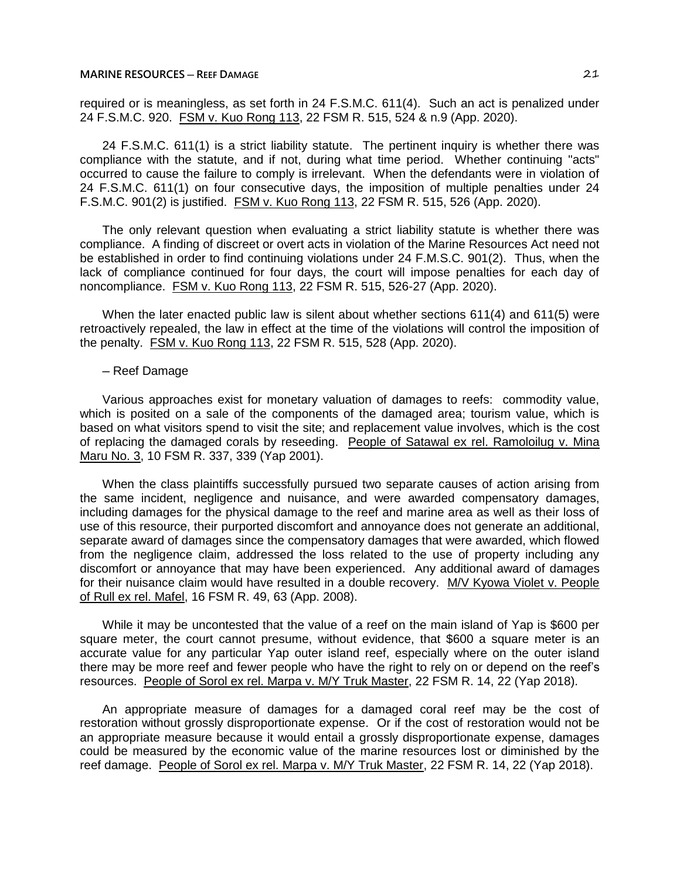required or is meaningless, as set forth in 24 F.S.M.C. 611(4). Such an act is penalized under 24 F.S.M.C. 920. FSM v. Kuo Rong 113, 22 FSM R. 515, 524 & n.9 (App. 2020).

24 F.S.M.C. 611(1) is a strict liability statute. The pertinent inquiry is whether there was compliance with the statute, and if not, during what time period. Whether continuing "acts" occurred to cause the failure to comply is irrelevant. When the defendants were in violation of 24 F.S.M.C. 611(1) on four consecutive days, the imposition of multiple penalties under 24 F.S.M.C. 901(2) is justified. FSM v. Kuo Rong 113, 22 FSM R. 515, 526 (App. 2020).

The only relevant question when evaluating a strict liability statute is whether there was compliance. A finding of discreet or overt acts in violation of the Marine Resources Act need not be established in order to find continuing violations under 24 F.M.S.C. 901(2). Thus, when the lack of compliance continued for four days, the court will impose penalties for each day of noncompliance. FSM v. Kuo Rong 113, 22 FSM R. 515, 526-27 (App. 2020).

When the later enacted public law is silent about whether sections 611(4) and 611(5) were retroactively repealed, the law in effect at the time of the violations will control the imposition of the penalty. FSM v. Kuo Rong 113, 22 FSM R. 515, 528 (App. 2020).

#### ─ Reef Damage

Various approaches exist for monetary valuation of damages to reefs: commodity value, which is posited on a sale of the components of the damaged area; tourism value, which is based on what visitors spend to visit the site; and replacement value involves, which is the cost of replacing the damaged corals by reseeding. People of Satawal ex rel. Ramoloilug v. Mina Maru No. 3, 10 FSM R. 337, 339 (Yap 2001).

When the class plaintiffs successfully pursued two separate causes of action arising from the same incident, negligence and nuisance, and were awarded compensatory damages, including damages for the physical damage to the reef and marine area as well as their loss of use of this resource, their purported discomfort and annoyance does not generate an additional, separate award of damages since the compensatory damages that were awarded, which flowed from the negligence claim, addressed the loss related to the use of property including any discomfort or annoyance that may have been experienced. Any additional award of damages for their nuisance claim would have resulted in a double recovery. M/V Kyowa Violet v. People of Rull ex rel. Mafel, 16 FSM R. 49, 63 (App. 2008).

While it may be uncontested that the value of a reef on the main island of Yap is \$600 per square meter, the court cannot presume, without evidence, that \$600 a square meter is an accurate value for any particular Yap outer island reef, especially where on the outer island there may be more reef and fewer people who have the right to rely on or depend on the reef's resources. People of Sorol ex rel. Marpa v. M/Y Truk Master, 22 FSM R. 14, 22 (Yap 2018).

An appropriate measure of damages for a damaged coral reef may be the cost of restoration without grossly disproportionate expense. Or if the cost of restoration would not be an appropriate measure because it would entail a grossly disproportionate expense, damages could be measured by the economic value of the marine resources lost or diminished by the reef damage. People of Sorol ex rel. Marpa v. M/Y Truk Master, 22 FSM R. 14, 22 (Yap 2018).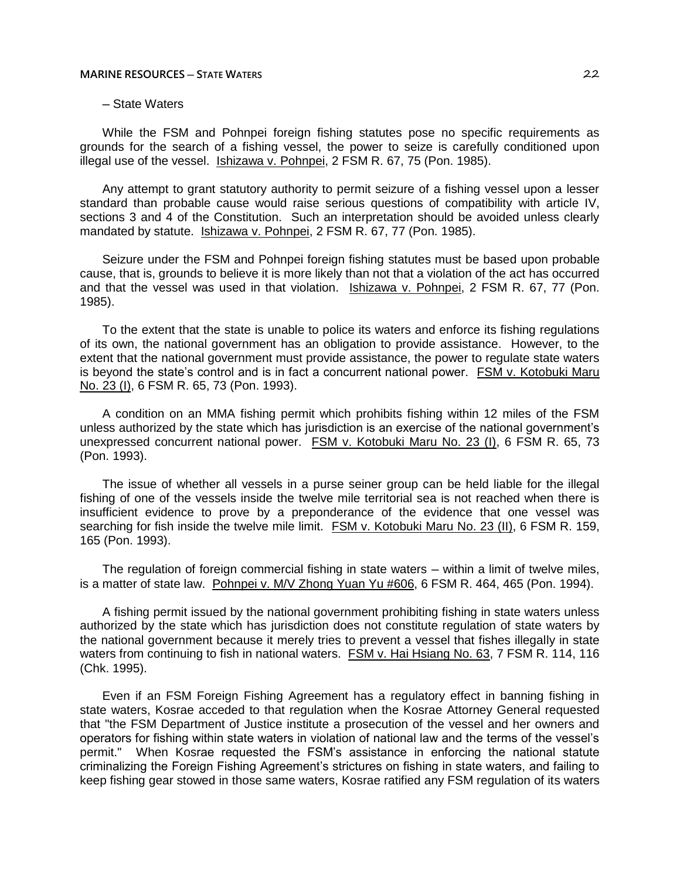# ─ State Waters

While the FSM and Pohnpei foreign fishing statutes pose no specific requirements as grounds for the search of a fishing vessel, the power to seize is carefully conditioned upon illegal use of the vessel. Ishizawa v. Pohnpei, 2 FSM R. 67, 75 (Pon. 1985).

Any attempt to grant statutory authority to permit seizure of a fishing vessel upon a lesser standard than probable cause would raise serious questions of compatibility with article IV, sections 3 and 4 of the Constitution. Such an interpretation should be avoided unless clearly mandated by statute. Ishizawa v. Pohnpei, 2 FSM R. 67, 77 (Pon. 1985).

Seizure under the FSM and Pohnpei foreign fishing statutes must be based upon probable cause, that is, grounds to believe it is more likely than not that a violation of the act has occurred and that the vessel was used in that violation. Ishizawa v. Pohnpei, 2 FSM R. 67, 77 (Pon. 1985).

To the extent that the state is unable to police its waters and enforce its fishing regulations of its own, the national government has an obligation to provide assistance. However, to the extent that the national government must provide assistance, the power to regulate state waters is beyond the state's control and is in fact a concurrent national power. FSM v. Kotobuki Maru No. 23 (I), 6 FSM R. 65, 73 (Pon. 1993).

A condition on an MMA fishing permit which prohibits fishing within 12 miles of the FSM unless authorized by the state which has jurisdiction is an exercise of the national government's unexpressed concurrent national power. FSM v. Kotobuki Maru No. 23 (I), 6 FSM R. 65, 73 (Pon. 1993).

The issue of whether all vessels in a purse seiner group can be held liable for the illegal fishing of one of the vessels inside the twelve mile territorial sea is not reached when there is insufficient evidence to prove by a preponderance of the evidence that one vessel was searching for fish inside the twelve mile limit. FSM v. Kotobuki Maru No. 23 (II), 6 FSM R. 159, 165 (Pon. 1993).

The regulation of foreign commercial fishing in state waters — within a limit of twelve miles, is a matter of state law. Pohnpei v. M/V Zhong Yuan Yu #606, 6 FSM R. 464, 465 (Pon. 1994).

A fishing permit issued by the national government prohibiting fishing in state waters unless authorized by the state which has jurisdiction does not constitute regulation of state waters by the national government because it merely tries to prevent a vessel that fishes illegally in state waters from continuing to fish in national waters. FSM v. Hai Hsiang No. 63, 7 FSM R. 114, 116 (Chk. 1995).

Even if an FSM Foreign Fishing Agreement has a regulatory effect in banning fishing in state waters, Kosrae acceded to that regulation when the Kosrae Attorney General requested that "the FSM Department of Justice institute a prosecution of the vessel and her owners and operators for fishing within state waters in violation of national law and the terms of the vessel's permit." When Kosrae requested the FSM's assistance in enforcing the national statute criminalizing the Foreign Fishing Agreement's strictures on fishing in state waters, and failing to keep fishing gear stowed in those same waters, Kosrae ratified any FSM regulation of its waters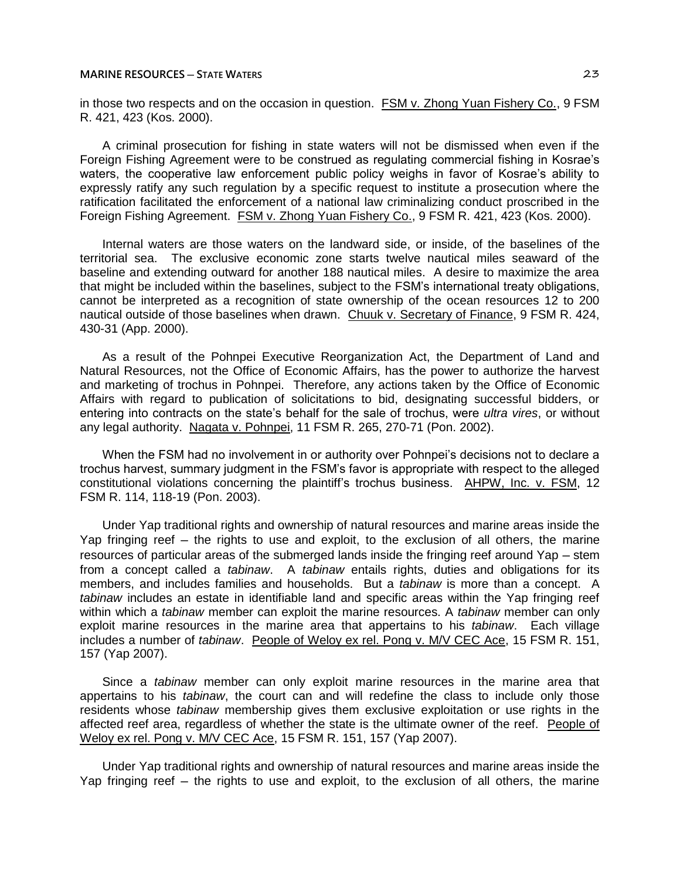in those two respects and on the occasion in question. FSM v. Zhong Yuan Fishery Co., 9 FSM R. 421, 423 (Kos. 2000).

A criminal prosecution for fishing in state waters will not be dismissed when even if the Foreign Fishing Agreement were to be construed as regulating commercial fishing in Kosrae's waters, the cooperative law enforcement public policy weighs in favor of Kosrae's ability to expressly ratify any such regulation by a specific request to institute a prosecution where the ratification facilitated the enforcement of a national law criminalizing conduct proscribed in the Foreign Fishing Agreement. FSM v. Zhong Yuan Fishery Co., 9 FSM R. 421, 423 (Kos. 2000).

Internal waters are those waters on the landward side, or inside, of the baselines of the territorial sea. The exclusive economic zone starts twelve nautical miles seaward of the baseline and extending outward for another 188 nautical miles. A desire to maximize the area that might be included within the baselines, subject to the FSM's international treaty obligations, cannot be interpreted as a recognition of state ownership of the ocean resources 12 to 200 nautical outside of those baselines when drawn. Chuuk v. Secretary of Finance, 9 FSM R. 424, 430-31 (App. 2000).

As a result of the Pohnpei Executive Reorganization Act, the Department of Land and Natural Resources, not the Office of Economic Affairs, has the power to authorize the harvest and marketing of trochus in Pohnpei. Therefore, any actions taken by the Office of Economic Affairs with regard to publication of solicitations to bid, designating successful bidders, or entering into contracts on the state's behalf for the sale of trochus, were *ultra vires*, or without any legal authority. Nagata v. Pohnpei, 11 FSM R. 265, 270-71 (Pon. 2002).

When the FSM had no involvement in or authority over Pohnpei's decisions not to declare a trochus harvest, summary judgment in the FSM's favor is appropriate with respect to the alleged constitutional violations concerning the plaintiff's trochus business. AHPW, Inc. v. FSM, 12 FSM R. 114, 118-19 (Pon. 2003).

Under Yap traditional rights and ownership of natural resources and marine areas inside the Yap fringing reef – the rights to use and exploit, to the exclusion of all others, the marine resources of particular areas of the submerged lands inside the fringing reef around Yap – stem from a concept called a *tabinaw*. A *tabinaw* entails rights, duties and obligations for its members, and includes families and households. But a *tabinaw* is more than a concept. A *tabinaw* includes an estate in identifiable land and specific areas within the Yap fringing reef within which a *tabinaw* member can exploit the marine resources. A *tabinaw* member can only exploit marine resources in the marine area that appertains to his *tabinaw*. Each village includes a number of *tabinaw*. People of Weloy ex rel. Pong v. M/V CEC Ace, 15 FSM R. 151, 157 (Yap 2007).

Since a *tabinaw* member can only exploit marine resources in the marine area that appertains to his *tabinaw*, the court can and will redefine the class to include only those residents whose *tabinaw* membership gives them exclusive exploitation or use rights in the affected reef area, regardless of whether the state is the ultimate owner of the reef. People of Weloy ex rel. Pong v. M/V CEC Ace, 15 FSM R. 151, 157 (Yap 2007).

Under Yap traditional rights and ownership of natural resources and marine areas inside the Yap fringing reef – the rights to use and exploit, to the exclusion of all others, the marine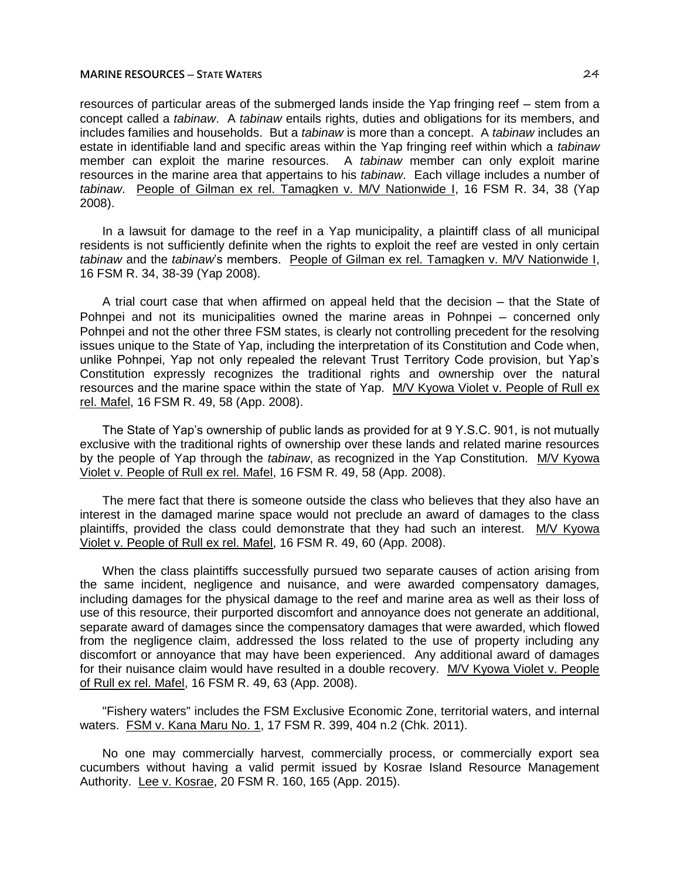resources of particular areas of the submerged lands inside the Yap fringing reef - stem from a concept called a *tabinaw*. A *tabinaw* entails rights, duties and obligations for its members, and includes families and households. But a *tabinaw* is more than a concept. A *tabinaw* includes an estate in identifiable land and specific areas within the Yap fringing reef within which a *tabinaw* member can exploit the marine resources. A *tabinaw* member can only exploit marine resources in the marine area that appertains to his *tabinaw*. Each village includes a number of *tabinaw*. People of Gilman ex rel. Tamagken v. M/V Nationwide I, 16 FSM R. 34, 38 (Yap 2008).

In a lawsuit for damage to the reef in a Yap municipality, a plaintiff class of all municipal residents is not sufficiently definite when the rights to exploit the reef are vested in only certain *tabinaw* and the *tabinaw*'s members. People of Gilman ex rel. Tamagken v. M/V Nationwide I, 16 FSM R. 34, 38-39 (Yap 2008).

A trial court case that when affirmed on appeal held that the decision — that the State of Pohnpei and not its municipalities owned the marine areas in Pohnpei – concerned only Pohnpei and not the other three FSM states, is clearly not controlling precedent for the resolving issues unique to the State of Yap, including the interpretation of its Constitution and Code when, unlike Pohnpei, Yap not only repealed the relevant Trust Territory Code provision, but Yap's Constitution expressly recognizes the traditional rights and ownership over the natural resources and the marine space within the state of Yap. M/V Kyowa Violet v. People of Rull ex rel. Mafel, 16 FSM R. 49, 58 (App. 2008).

The State of Yap's ownership of public lands as provided for at 9 Y.S.C. 901, is not mutually exclusive with the traditional rights of ownership over these lands and related marine resources by the people of Yap through the *tabinaw*, as recognized in the Yap Constitution. M/V Kyowa Violet v. People of Rull ex rel. Mafel, 16 FSM R. 49, 58 (App. 2008).

The mere fact that there is someone outside the class who believes that they also have an interest in the damaged marine space would not preclude an award of damages to the class plaintiffs, provided the class could demonstrate that they had such an interest. M/V Kyowa Violet v. People of Rull ex rel. Mafel, 16 FSM R. 49, 60 (App. 2008).

When the class plaintiffs successfully pursued two separate causes of action arising from the same incident, negligence and nuisance, and were awarded compensatory damages, including damages for the physical damage to the reef and marine area as well as their loss of use of this resource, their purported discomfort and annoyance does not generate an additional, separate award of damages since the compensatory damages that were awarded, which flowed from the negligence claim, addressed the loss related to the use of property including any discomfort or annoyance that may have been experienced. Any additional award of damages for their nuisance claim would have resulted in a double recovery. M/V Kyowa Violet v. People of Rull ex rel. Mafel, 16 FSM R. 49, 63 (App. 2008).

"Fishery waters" includes the FSM Exclusive Economic Zone, territorial waters, and internal waters. FSM v. Kana Maru No. 1, 17 FSM R. 399, 404 n.2 (Chk. 2011).

No one may commercially harvest, commercially process, or commercially export sea cucumbers without having a valid permit issued by Kosrae Island Resource Management Authority. Lee v. Kosrae, 20 FSM R. 160, 165 (App. 2015).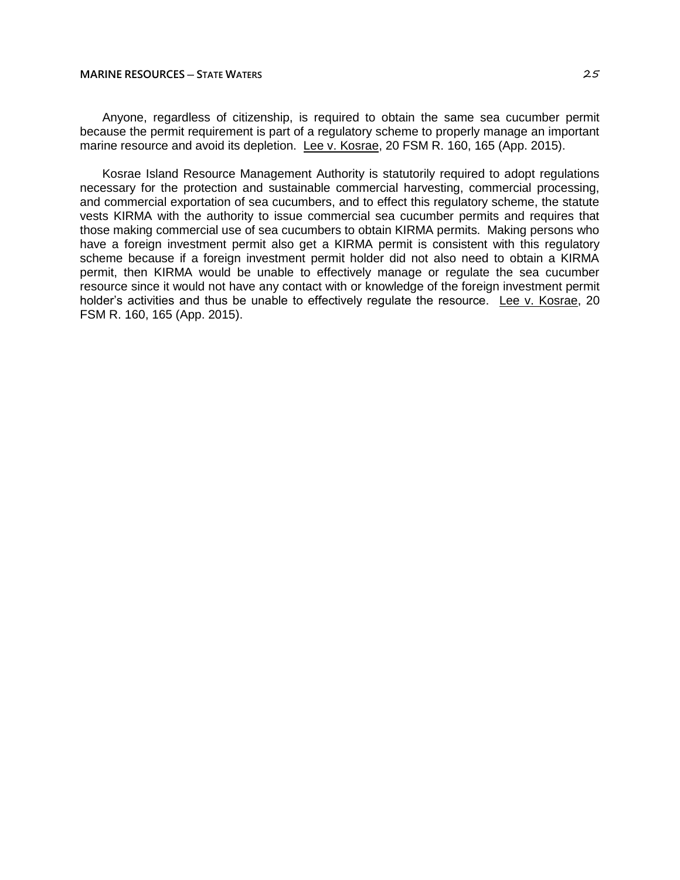Anyone, regardless of citizenship, is required to obtain the same sea cucumber permit because the permit requirement is part of a regulatory scheme to properly manage an important marine resource and avoid its depletion. Lee v. Kosrae, 20 FSM R. 160, 165 (App. 2015).

Kosrae Island Resource Management Authority is statutorily required to adopt regulations necessary for the protection and sustainable commercial harvesting, commercial processing, and commercial exportation of sea cucumbers, and to effect this regulatory scheme, the statute vests KIRMA with the authority to issue commercial sea cucumber permits and requires that those making commercial use of sea cucumbers to obtain KIRMA permits. Making persons who have a foreign investment permit also get a KIRMA permit is consistent with this regulatory scheme because if a foreign investment permit holder did not also need to obtain a KIRMA permit, then KIRMA would be unable to effectively manage or regulate the sea cucumber resource since it would not have any contact with or knowledge of the foreign investment permit holder's activities and thus be unable to effectively regulate the resource. Lee v. Kosrae, 20 FSM R. 160, 165 (App. 2015).